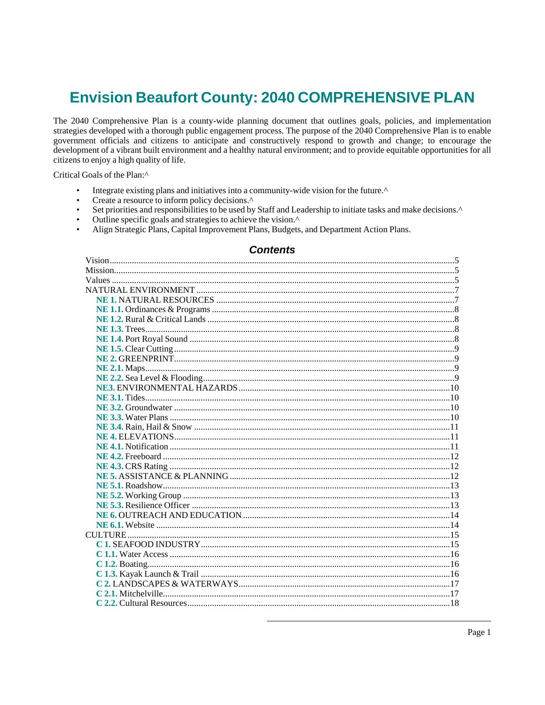# **Envision Beaufort County: 2040 COMPREHENSIVE PLAN**

The 2040 Comprehensive Plan is a county-wide planning document that outlines goals, policies, and implementation strategies developed with a thorough public engagement process. The purpose of the 2040 Comprehensive Plan is to enable government officials and citizens to anticipate and constructively respond to growth and change; to encourage the development of a vibrant built environment and a healthy natural environment; and to provide equitable opportunities for all citizens to enjoy a high quality of life.

Critical Goals of the Plan:^

- $\bullet$ Integrate existing plans and initiatives into a community-wide vision for the future.^
- $\bullet$ Create a resource to inform policy decisions.^
- $\bullet$ Set priorities and responsibilities to be used by Staff and Leadership to initiate tasks and make decisions.^
- Outline specific goals and strategies to achieve the vision.^
- Align Strategic Plans, Capital Improvement Plans, Budgets, and Department Action Plans.  $\bullet$

## **Contents**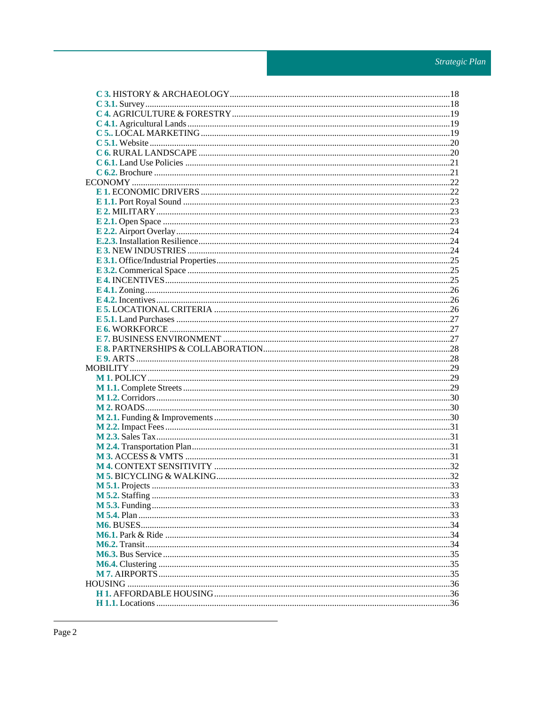| M 5.1. Projects |  |
|-----------------|--|
|                 |  |
|                 |  |
|                 |  |
|                 |  |
|                 |  |
|                 |  |
|                 |  |
|                 |  |
|                 |  |
|                 |  |
|                 |  |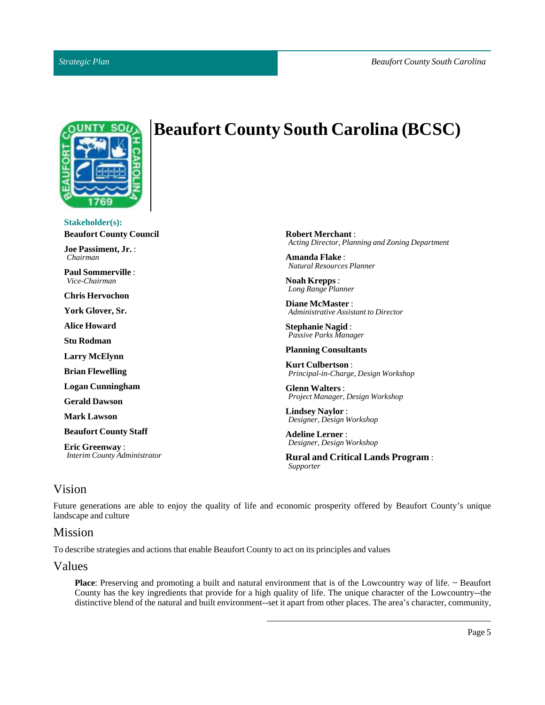

# **Beaufort County South Carolina (BCSC)**

**Stakeholder(s): Beaufort County Council Joe Passiment, Jr.**: *Chairman* **PaulSommerville** : *Vice-Chairman* **Chris Hervochon York Glover,Sr. Alice Howard Stu Rodman**

**Larry McElynn**

**Brian Flewelling**

**Logan Cunningham**

**Gerald Dawson**

**Mark Lawson**

**Beaufort CountyStaff**

**Eric Greenway** : *Interim County Administrator* **Robert Merchant** : *Acting Director, Planning and Zoning Department*

**Amanda Flake** : *Natural Resources Planner*

**Noah Krepps** : *Long Range Planner*

**Diane McMaster** : *Administrative Assistant to Director*

**Stephanie Nagid**: *Passive Parks Manager*

**Planning Consultants**

**Kurt Culbertson**: *Principal-in-Charge, Design Workshop*

**Glenn Walters** : *Project Manager, Design Workshop*

**Lindsey Naylor** : *Designer, Design Workshop*

**Adeline Lerner** : *Designer, Design Workshop*

**Rural and Critical Lands Program** : *Supporter*

## <span id="page-4-0"></span>Vision

Future generations are able to enjoy the quality of life and economic prosperity offered by Beaufort County's unique landscape and culture

## <span id="page-4-1"></span>Mission

To describe strategies and actions that enable Beaufort County to act on its principles and values

## <span id="page-4-2"></span>Values

**Place**: Preserving and promoting a built and natural environment that is of the Lowcountry way of life. ~ Beaufort County has the key ingredients that provide for a high quality of life. The unique character of the Lowcountry--the distinctive blend of the natural and built environment--set it apart from other places. The area's character, community,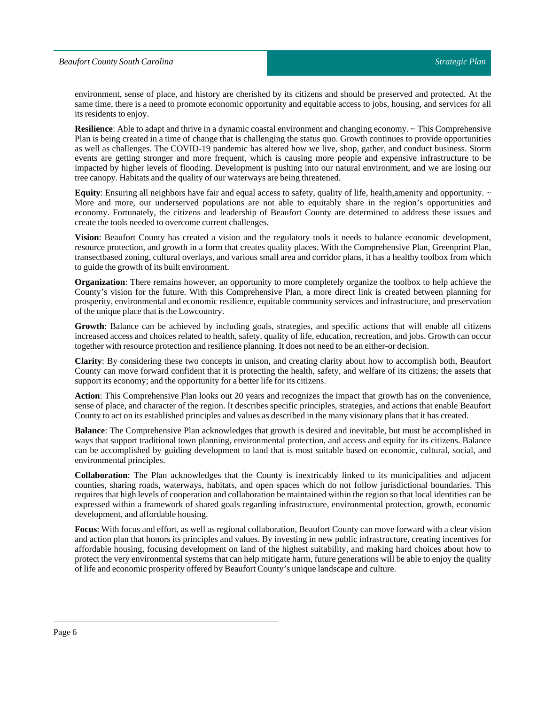#### *Beaufort County South Carolina*

environment, sense of place, and history are cherished by its citizens and should be preserved and protected. At the same time, there is a need to promote economic opportunity and equitable access to jobs, housing, and services for all its residents to enjoy.

**Resilience**: Able to adapt and thrive in a dynamic coastal environment and changing economy. ~ This Comprehensive Plan is being created in a time of change that is challenging the status quo. Growth continues to provide opportunities as well as challenges. The COVID-19 pandemic has altered how we live, shop, gather, and conduct business. Storm events are getting stronger and more frequent, which is causing more people and expensive infrastructure to be impacted by higher levels of flooding. Development is pushing into our natural environment, and we are losing our tree canopy. Habitats and the quality of our waterways are being threatened.

**Equity**: Ensuring all neighbors have fair and equal access to safety, quality of life, health, amenity and opportunity.  $\sim$ More and more, our underserved populations are not able to equitably share in the region's opportunities and economy. Fortunately, the citizens and leadership of Beaufort County are determined to address these issues and create the tools needed to overcome current challenges.

**Vision**: Beaufort County has created a vision and the regulatory tools it needs to balance economic development, resource protection, and growth in a form that creates quality places. With the Comprehensive Plan, Greenprint Plan, transectbased zoning, cultural overlays, and various small area and corridor plans, it has a healthy toolbox from which to guide the growth of its built environment.

**Organization**: There remains however, an opportunity to more completely organize the toolbox to help achieve the County's vision for the future. With this Comprehensive Plan, a more direct link is created between planning for prosperity, environmental and economic resilience, equitable community services and infrastructure, and preservation of the unique place that is the Lowcountry.

**Growth**: Balance can be achieved by including goals, strategies, and specific actions that will enable all citizens increased access and choices related to health, safety, quality of life, education, recreation, and jobs. Growth can occur together with resource protection and resilience planning. It does not need to be an either-or decision.

**Clarity**: By considering these two concepts in unison, and creating clarity about how to accomplish both, Beaufort County can move forward confident that it is protecting the health, safety, and welfare of its citizens; the assets that support its economy; and the opportunity for a better life for its citizens.

**Action**: This Comprehensive Plan looks out 20 years and recognizes the impact that growth has on the convenience, sense of place, and character of the region. It describes specific principles, strategies, and actions that enable Beaufort County to act on its established principles and values as described in the many visionary plans thatit has created.

**Balance**: The Comprehensive Plan acknowledges that growth is desired and inevitable, but must be accomplished in ways that support traditional town planning, environmental protection, and access and equity for its citizens. Balance can be accomplished by guiding development to land that is most suitable based on economic, cultural, social, and environmental principles.

**Collaboration**: The Plan acknowledges that the County is inextricably linked to its municipalities and adjacent counties, sharing roads, waterways, habitats, and open spaces which do not follow jurisdictional boundaries. This requires that high levels of cooperation and collaboration be maintained within the region so that local identities can be expressed within a framework of shared goals regarding infrastructure, environmental protection, growth, economic development, and affordable housing.

**Focus**: With focus and effort, as well as regional collaboration, Beaufort County can move forward with a clear vision and action plan that honors its principles and values. By investing in new public infrastructure, creating incentives for affordable housing, focusing development on land of the highest suitability, and making hard choices about how to protect the very environmental systems that can help mitigate harm, future generations will be able to enjoy the quality of life and economic prosperity offered by Beaufort County's unique landscape and culture.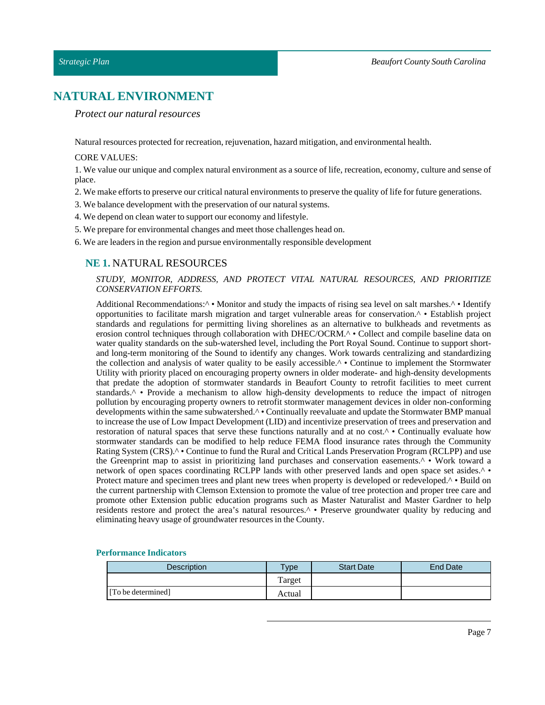# <span id="page-6-0"></span>**NATURAL ENVIRONMENT**

*Protect our natural resources*

Natural resources protected for recreation, rejuvenation, hazard mitigation, and environmental health.

## CORE VALUES:

1. We value our unique and complex natural environment as a source of life, recreation, economy, culture and sense of place.

- 2. We make efforts to preserve our critical natural environments to preserve the quality of life for future generations.
- 3. We balance development with the preservation of our natural systems.
- 4. We depend on clean water to support our economy and lifestyle.
- 5. We prepare for environmental changes and meet those challenges head on.
- <span id="page-6-1"></span>6. We are leaders in the region and pursue environmentally responsible development

## **NE 1.** NATURAL RESOURCES

#### *STUDY, MONITOR, ADDRESS, AND PROTECT VITAL NATURAL RESOURCES, AND PRIORITIZE CONSERVATION EFFORTS.*

Additional Recommendations: $\land \bullet$  Monitor and study the impacts of rising sea level on salt marshes. $\land \bullet$  Identify opportunities to facilitate marsh migration and target vulnerable areas for conservation.^ • Establish project standards and regulations for permitting living shorelines as an alternative to bulkheads and revetments as erosion control techniques through collaboration with DHEC/OCRM.^ • Collect and compile baseline data on water quality standards on the sub-watershed level, including the Port Royal Sound. Continue to support shortand long-term monitoring of the Sound to identify any changes. Work towards centralizing and standardizing the collection and analysis of water quality to be easily accessible.^ • Continue to implement the Stormwater Utility with priority placed on encouraging property owners in older moderate- and high-density developments that predate the adoption of stormwater standards in Beaufort County to retrofit facilities to meet current standards.<sup>^</sup> • Provide a mechanism to allow high-density developments to reduce the impact of nitrogen pollution by encouraging property owners to retrofit stormwater management devices in older non-conforming developments within the same subwatershed.^ • Continually reevaluate and update the Stormwater BMP manual to increase the use of Low Impact Development (LID) and incentivize preservation of trees and preservation and restoration of natural spaces that serve these functions naturally and at no cost.^ • Continually evaluate how stormwater standards can be modified to help reduce FEMA flood insurance rates through the Community Rating System (CRS).<sup>^</sup> • Continue to fund the Rural and Critical Lands Preservation Program (RCLPP) and use the Greenprint map to assist in prioritizing land purchases and conservation easements.^ • Work toward a network of open spaces coordinating RCLPP lands with other preserved lands and open space set asides.^ • Protect mature and specimen trees and plant new trees when property is developed or redeveloped.^ • Build on the current partnership with Clemson Extension to promote the value of tree protection and proper tree care and promote other Extension public education programs such as Master Naturalist and Master Gardner to help residents restore and protect the area's natural resources.^ • Preserve groundwater quality by reducing and eliminating heavy usage of groundwater resources in the County.

| Description        | <b>Type</b> | <b>Start Date</b> | End Date |
|--------------------|-------------|-------------------|----------|
|                    | Target      |                   |          |
| [To be determined] | Actual      |                   |          |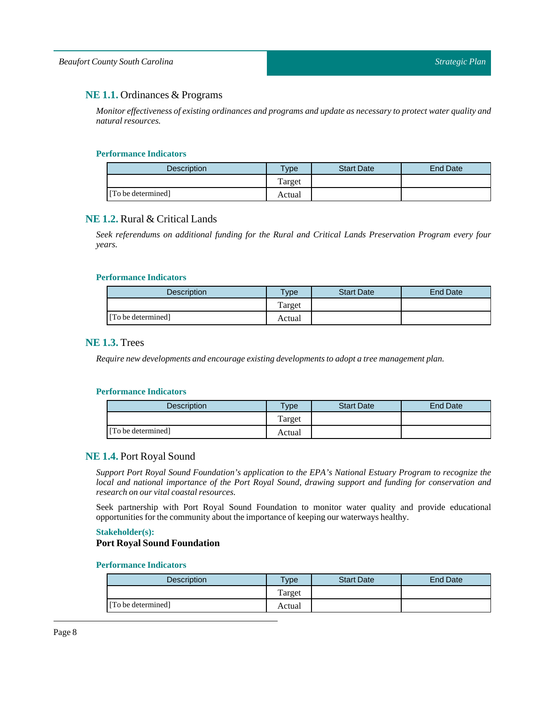## <span id="page-7-0"></span>**NE 1.1.** Ordinances & Programs

*Monitor effectiveness of existing ordinances and programs and update as necessary to protect water quality and natural resources.*

#### **Performance Indicators**

| <b>Description</b> | <b>Type</b> | <b>Start Date</b> | End Date |
|--------------------|-------------|-------------------|----------|
|                    | Target      |                   |          |
| [To be determined] | Actual      |                   |          |

## <span id="page-7-1"></span>**NE 1.2.** Rural & Critical Lands

*Seek referendums on additional funding for the Rural and Critical Lands Preservation Program every four years.*

#### **Performance Indicators**

| <b>Description</b> | $T$ ype | <b>Start Date</b> | End Date |
|--------------------|---------|-------------------|----------|
|                    | Target  |                   |          |
| [To be determined] | Actual  |                   |          |

## <span id="page-7-2"></span>**NE 1.3.** Trees

*Require new developments and encourage existing developments to adopt a tree management plan.*

#### **Performance Indicators**

| Description        | $T$ vpe | <b>Start Date</b> | End Date |
|--------------------|---------|-------------------|----------|
|                    | Target  |                   |          |
| [To be determined] | Actual  |                   |          |

## <span id="page-7-3"></span>**NE 1.4.** Port Royal Sound

*Support Port Royal Sound Foundation's application to the EPA's National Estuary Program to recognize the local and national importance of the Port Royal Sound, drawing support and funding for conservation and research on our vital coastal resources.*

Seek partnership with Port Royal Sound Foundation to monitor water quality and provide educational opportunities for the community aboutthe importance of keeping our waterways healthy.

#### **Stakeholder(s):**

#### **Port Royal Sound Foundation**

| <b>Description</b> | <b>Vpe</b> | <b>Start Date</b> | End Date |
|--------------------|------------|-------------------|----------|
|                    | Target     |                   |          |
| [To be determined] | Actual     |                   |          |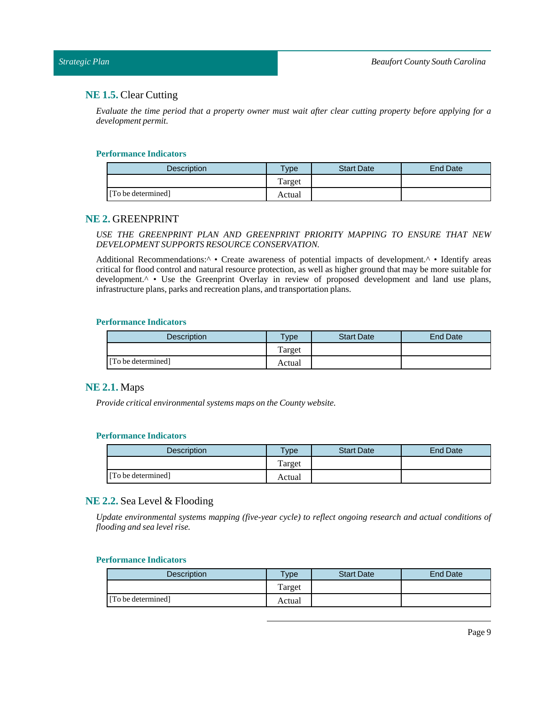### <span id="page-8-0"></span>*Strategic Plan*

## **NE 1.5.** Clear Cutting

Evaluate the time period that a property owner must wait after clear cutting property before applying for a *development permit.*

#### **Performance Indicators**

| Description        | $v$ pe | <b>Start Date</b> | <b>End Date</b> |
|--------------------|--------|-------------------|-----------------|
|                    | Target |                   |                 |
| [To be determined] | Actual |                   |                 |

## <span id="page-8-1"></span>**NE 2.** GREENPRINT

*USE THE GREENPRINT PLAN AND GREENPRINT PRIORITY MAPPING TO ENSURE THAT NEW DEVELOPMENTSUPPORTS RESOURCE CONSERVATION.*

Additional Recommendations:<sup>^</sup> • Create awareness of potential impacts of development.<sup>^</sup> • Identify areas critical for flood control and natural resource protection, as well as higher ground that may be more suitable for development.<sup>^</sup> • Use the Greenprint Overlay in review of proposed development and land use plans, infrastructure plans, parks and recreation plans, and transportation plans.

#### **Performance Indicators**

| Description        | $T$ <sub>ype</sub> | <b>Start Date</b> | End Date |
|--------------------|--------------------|-------------------|----------|
|                    | Target             |                   |          |
| [To be determined] | Actual             |                   |          |

## <span id="page-8-2"></span>**NE 2.1.** Maps

*Provide critical environmental systems maps on the County website.*

## **Performance Indicators**

| <b>Description</b> | $T$ ype | <b>Start Date</b> | End Date |
|--------------------|---------|-------------------|----------|
|                    | Target  |                   |          |
| [To be determined] | Actual  |                   |          |

## <span id="page-8-3"></span>**NE 2.2.** Sea Level & Flooding

*Update environmental systems mapping (five-year cycle) to reflect ongoing research and actual conditions of flooding and sea level rise.*

| <b>Description</b> | <b>Type</b> | <b>Start Date</b> | <b>End Date</b> |
|--------------------|-------------|-------------------|-----------------|
|                    | Target      |                   |                 |
| [To be determined] | Actual      |                   |                 |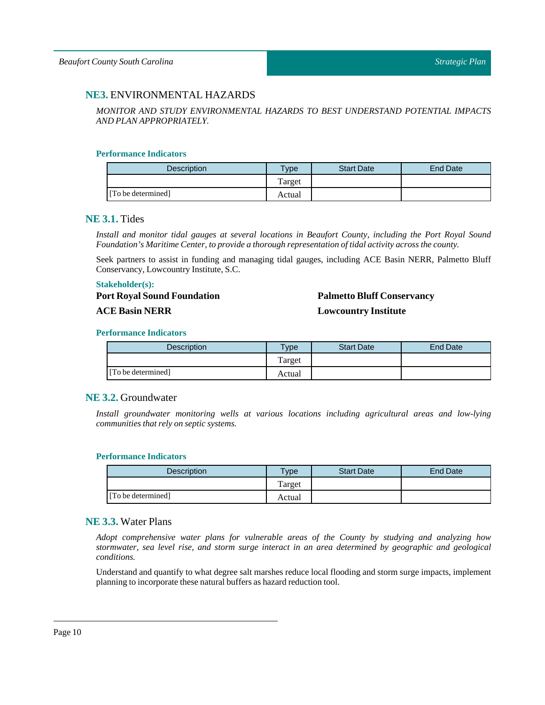## <span id="page-9-0"></span>**NE3.** ENVIRONMENTAL HAZARDS

*MONITOR AND STUDY ENVIRONMENTAL HAZARDS TO BEST UNDERSTAND POTENTIAL IMPACTS AND PLAN APPROPRIATELY.*

## **Performance Indicators**

| <b>Description</b> | <b>Type</b> | <b>Start Date</b> | End Date |
|--------------------|-------------|-------------------|----------|
|                    | Target      |                   |          |
| [To be determined] | Actual      |                   |          |

## <span id="page-9-1"></span>**NE 3.1.** Tides

*Install and monitor tidal gauges at several locations in Beaufort County, including the Port Royal Sound Foundation's Maritime Center,to provide a thorough representation oftidal activity across the county.*

Seek partners to assist in funding and managing tidal gauges, including ACE Basin NERR, Palmetto Bluff Conservancy, Lowcountry Institute, S.C.

#### **Stakeholder(s):**

**Port Royal Sound Foundation**

## **ACE Basin NERR**

# **Palmetto Bluff Conservancy Lowcountry Institute**

### **Performance Indicators**

| Description        | <b>Type</b> | <b>Start Date</b> | End Date |
|--------------------|-------------|-------------------|----------|
|                    | Target      |                   |          |
| [To be determined] | Actual      |                   |          |

## <span id="page-9-2"></span>**NE 3.2.** Groundwater

*Install groundwater monitoring wells at various locations including agricultural areas and low-lying communities that rely on septic systems.*

#### **Performance Indicators**

| <b>Description</b> | Type   | <b>Start Date</b> | End Date |
|--------------------|--------|-------------------|----------|
|                    | Target |                   |          |
| [To be determined] | Actual |                   |          |

## <span id="page-9-3"></span>**NE 3.3.** Water Plans

*Adopt comprehensive water plans for vulnerable areas of the County by studying and analyzing how stormwater, sea level rise, and storm surge interact in an area determined by geographic and geological conditions.*

Understand and quantify to what degree salt marshes reduce local flooding and storm surge impacts, implement planning to incorporate these natural buffers as hazard reduction tool.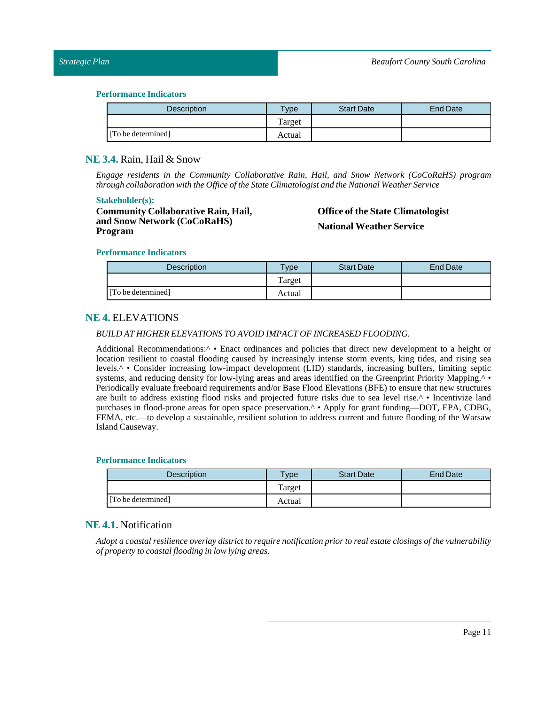#### **Performance Indicators**

| <b>Description</b> | $T$ <sub>ype</sub> | <b>Start Date</b> | End Date |
|--------------------|--------------------|-------------------|----------|
|                    | Target             |                   |          |
| [To be determined] | Actual             |                   |          |

## <span id="page-10-0"></span>**NE 3.4.** Rain, Hail & Snow

*Engage residents in the Community Collaborative Rain, Hail, and Snow Network (CoCoRaHS) program through collaboration with the Office ofthe State Climatologist and the National Weather Service*

#### **Stakeholder(s):**

**Community Collaborative Rain, Hail, and Snow Network (CoCoRaHS) Program**

# **Office of the State Climatologist National Weather Service**

#### **Performance Indicators**

| Description        | Type   | <b>Start Date</b> | End Date |
|--------------------|--------|-------------------|----------|
|                    | Target |                   |          |
| [To be determined] | Actual |                   |          |

## <span id="page-10-1"></span>**NE 4.** ELEVATIONS

## *BUILD AT HIGHER ELEVATIONSTO AVOID IMPACT OF INCREASED FLOODING.*

Additional Recommendations:^ • Enact ordinances and policies that direct new development to a height or location resilient to coastal flooding caused by increasingly intense storm events, king tides, and rising sea levels.^ • Consider increasing low-impact development (LID) standards, increasing buffers, limiting septic systems, and reducing density for low-lying areas and areas identified on the Greenprint Priority Mapping.<sup>^</sup> • Periodically evaluate freeboard requirements and/or Base Flood Elevations (BFE) to ensure that new structures are built to address existing flood risks and projected future risks due to sea level rise.^ • Incentivize land purchases in flood-prone areas for open space preservation.<sup>^</sup> • Apply for grant funding—DOT, EPA, CDBG, FEMA, etc.—to develop a sustainable, resilient solution to address current and future flooding of the Warsaw Island Causeway.

#### **Performance Indicators**

| <b>Description</b> | <b>Type</b> | <b>Start Date</b> | <b>End Date</b> |
|--------------------|-------------|-------------------|-----------------|
|                    | Target      |                   |                 |
| [To be determined] | Actual      |                   |                 |

## <span id="page-10-2"></span>**NE 4.1.** Notification

Adopt a coastal resilience overlay district to require notification prior to real estate closings of the vulnerability *of property to coastalflooding in low lying areas.*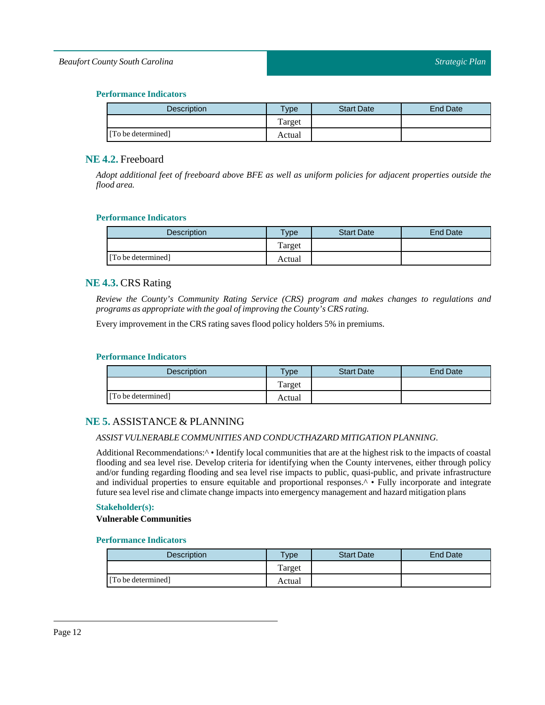## *Beaufort County South Carolina*

## **Performance Indicators**

| Description        | Type   | <b>Start Date</b> | <b>End Date</b> |
|--------------------|--------|-------------------|-----------------|
|                    | Target |                   |                 |
| [To be determined] | Actual |                   |                 |

## <span id="page-11-0"></span>**NE 4.2.** Freeboard

Adopt additional feet of freeboard above BFE as well as uniform policies for adjacent properties outside the *flood area.*

## **Performance Indicators**

| Description        | $T$ <sub>ype</sub> | <b>Start Date</b> | <b>End Date</b> |
|--------------------|--------------------|-------------------|-----------------|
|                    | Target             |                   |                 |
| [To be determined] | Actual             |                   |                 |

## <span id="page-11-1"></span>**NE 4.3.** CRS Rating

*Review the County's Community Rating Service (CRS) program and makes changes to regulations and programs as appropriate with the goal ofimproving the County's CRS rating.*

Every improvement in the CRS rating saves flood policy holders 5% in premiums.

## **Performance Indicators**

| <b>Description</b> | $T$ vpe | <b>Start Date</b> | End Date |
|--------------------|---------|-------------------|----------|
|                    | Target  |                   |          |
| [To be determined] | Actual  |                   |          |

## <span id="page-11-2"></span>**NE 5.** ASSISTANCE & PLANNING

## *ASSIST VULNERABLE COMMUNITIES AND CONDUCTHAZARD MITIGATION PLANNING.*

Additional Recommendations:<sup> $\wedge \bullet$ </sup> Identify local communities that are at the highest risk to the impacts of coastal flooding and sea level rise. Develop criteria for identifying when the County intervenes, either through policy and/or funding regarding flooding and sea level rise impacts to public, quasi-public, and private infrastructure and individual properties to ensure equitable and proportional responses.^ • Fully incorporate and integrate future sea level rise and climate change impacts into emergency management and hazard mitigation plans

## **Stakeholder(s):**

#### **Vulnerable Communities**

| <b>Description</b> | Type   | <b>Start Date</b> | End Date |
|--------------------|--------|-------------------|----------|
|                    | Target |                   |          |
| [To be determined] | Actual |                   |          |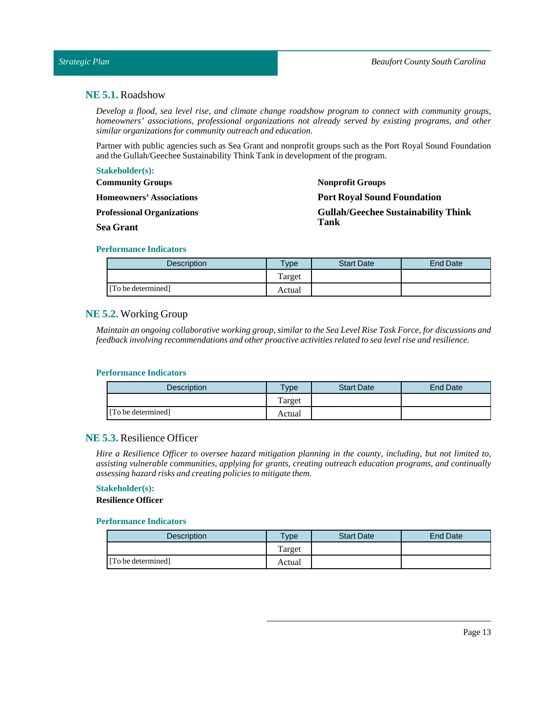## <span id="page-12-0"></span>**NE 5.1.** Roadshow

*Develop a flood, sea level rise, and climate change roadshow program to connect with community groups, homeowners' associations, professional organizations not already served by existing programs, and other similar organizations for community outreach and education.*

Partner with public agencies such as Sea Grant and nonprofit groups such as the Port Royal Sound Foundation and the Gullah/Geechee Sustainability Think Tank in development of the program.

| <b>Stakeholder(s):</b>            |                                            |
|-----------------------------------|--------------------------------------------|
| <b>Community Groups</b>           | <b>Nonprofit Groups</b>                    |
| <b>Homeowners' Associations</b>   | <b>Port Royal Sound Foundation</b>         |
| <b>Professional Organizations</b> | <b>Gullah/Geechee Sustainability Think</b> |
| <b>Sea Grant</b>                  | Tank                                       |

#### **Performance Indicators**

| <b>Description</b> | <b>Vpe</b> | <b>Start Date</b> | End Date |
|--------------------|------------|-------------------|----------|
|                    | Target     |                   |          |
| [To be determined] | Actual     |                   |          |

## <span id="page-12-1"></span>**NE 5.2.** Working Group

Maintain an ongoing collaborative working group, similar to the Sea Level Rise Task Force, for discussions and *feedback involving recommendations and other proactive activities related to sea level rise and resilience.*

#### **Performance Indicators**

| <b>Description</b> | <b>Type</b> | <b>Start Date</b> | End Date |
|--------------------|-------------|-------------------|----------|
|                    | Target      |                   |          |
| [To be determined] | Actual      |                   |          |

## <span id="page-12-2"></span>**NE 5.3.** Resilience Officer

Hire a Resilience Officer to oversee hazard mitigation planning in the county, including, but not limited to, *assisting vulnerable communities, applying for grants, creating outreach education programs, and continually assessing hazard risks and creating policies to mitigate them.*

# **Stakeholder(s):**

**Resilience Officer**

| <b>Description</b> | $T$ ype | <b>Start Date</b> | End Date |
|--------------------|---------|-------------------|----------|
|                    | Target  |                   |          |
| [To be determined] | Actual  |                   |          |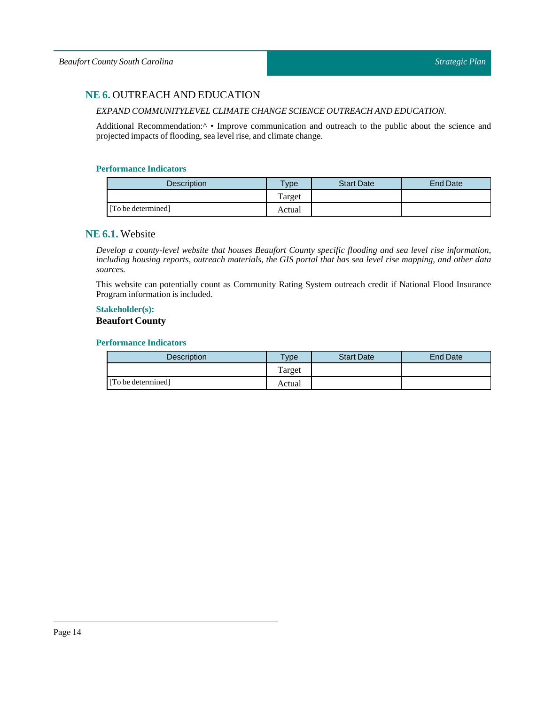## <span id="page-13-0"></span>**NE 6.** OUTREACH AND EDUCATION

## *EXPAND COMMUNITYLEVEL CLIMATE CHANGE SCIENCE OUTREACH AND EDUCATION.*

Additional Recommendation: $\land \bullet$  Improve communication and outreach to the public about the science and projected impacts of flooding, sea level rise, and climate change.

#### **Performance Indicators**

| Description        | <b>Type</b> | <b>Start Date</b> | End Date |
|--------------------|-------------|-------------------|----------|
|                    | Target      |                   |          |
| [To be determined] | Actual      |                   |          |

## <span id="page-13-1"></span>**NE 6.1.** Website

*Develop a county-level website that houses Beaufort County specific flooding and sea level rise information,* including housing reports, outreach materials, the GIS portal that has sea level rise mapping, and other data *sources.*

This website can potentially count as Community Rating System outreach credit if National Flood Insurance Program information is included.

# **Stakeholder(s):**

## **Beaufort County**

| <b>Description</b> | $T$ vpe | <b>Start Date</b> | <b>End Date</b> |
|--------------------|---------|-------------------|-----------------|
|                    | Target  |                   |                 |
| [To be determined] | Actual  |                   |                 |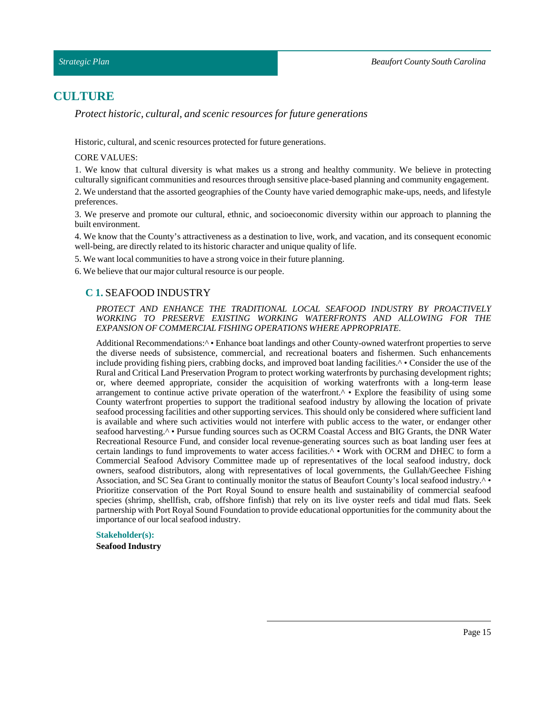## <span id="page-14-0"></span>**CULTURE**

*Protect historic, cultural, and scenic resources for future generations*

Historic, cultural, and scenic resources protected for future generations.

#### CORE VALUES:

1. We know that cultural diversity is what makes us a strong and healthy community. We believe in protecting culturally significant communities and resources through sensitive place-based planning and community engagement.

2. We understand that the assorted geographies of the County have varied demographic make-ups, needs, and lifestyle preferences.

3. We preserve and promote our cultural, ethnic, and socioeconomic diversity within our approach to planning the built environment.

4. We know that the County's attractiveness as a destination to live, work, and vacation, and its consequent economic well-being, are directly related to its historic character and unique quality of life.

5. We want local communities to have a strong voice in their future planning.

<span id="page-14-1"></span>6. We believe that our major cultural resource is our people.

## **C 1.** SEAFOOD INDUSTRY

*PROTECT AND ENHANCE THE TRADITIONAL LOCAL SEAFOOD INDUSTRY BY PROACTIVELY WORKING TO PRESERVE EXISTING WORKING WATERFRONTS AND ALLOWING FOR THE EXPANSION OF COMMERCIAL FISHING OPERATIONS WHERE APPROPRIATE.*

Additional Recommendations:<sup>^</sup> • Enhance boat landings and other County-owned waterfront properties to serve the diverse needs of subsistence, commercial, and recreational boaters and fishermen. Such enhancements include providing fishing piers, crabbing docks, and improved boat landing facilities.^ • Consider the use of the Rural and Critical Land Preservation Program to protect working waterfronts by purchasing development rights; or, where deemed appropriate, consider the acquisition of working waterfronts with a long-term lease arrangement to continue active private operation of the waterfront.^ • Explore the feasibility of using some County waterfront properties to support the traditional seafood industry by allowing the location of private seafood processing facilities and other supporting services. This should only be considered where sufficient land is available and where such activities would not interfere with public access to the water, or endanger other seafood harvesting.<sup>^</sup> • Pursue funding sources such as OCRM Coastal Access and BIG Grants, the DNR Water Recreational Resource Fund, and consider local revenue-generating sources such as boat landing user fees at certain landings to fund improvements to water access facilities.^ • Work with OCRM and DHEC to form a Commercial Seafood Advisory Committee made up of representatives of the local seafood industry, dock owners, seafood distributors, along with representatives of local governments, the Gullah/Geechee Fishing Association, and SC Sea Grant to continually monitor the status of Beaufort County's local seafood industry.^ • Prioritize conservation of the Port Royal Sound to ensure health and sustainability of commercial seafood species (shrimp, shellfish, crab, offshore finfish) that rely on its live oyster reefs and tidal mud flats. Seek partnership with Port Royal Sound Foundation to provide educational opportunities for the community about the importance of our local seafood industry.

#### **Stakeholder(s):**

**Seafood Industry**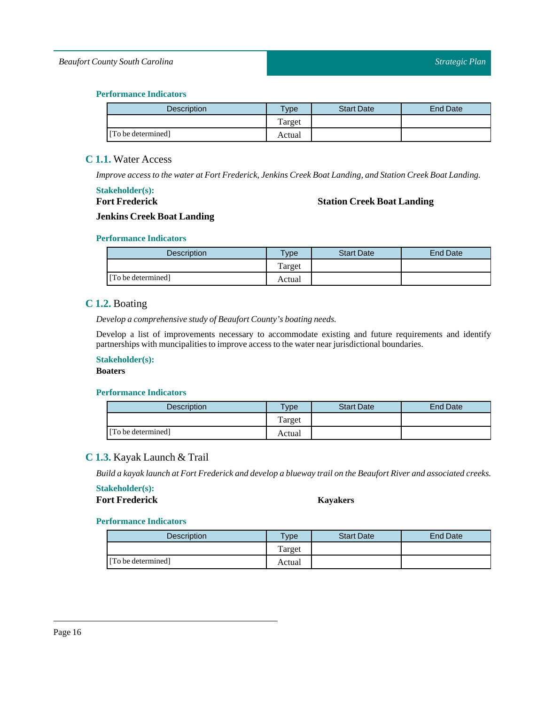## **Performance Indicators**

| <b>Description</b> | $T$ ype | <b>Start Date</b> | End Date |
|--------------------|---------|-------------------|----------|
|                    | Target  |                   |          |
| [To be determined] | Actual  |                   |          |

## <span id="page-15-0"></span>**C 1.1.** Water Access

*Improve access to the water at Fort Frederick, Jenkins Creek BoatLanding, and Station Creek BoatLanding.*

## **Stakeholder(s): Fort Frederick**

## **Station Creek Boat Landing**

## **Jenkins Creek Boat Landing**

## **Performance Indicators**

| <b>Description</b> | $T$ <sub>V</sub> $pe$ | <b>Start Date</b> | <b>End Date</b> |
|--------------------|-----------------------|-------------------|-----------------|
|                    | Target                |                   |                 |
| [To be determined] | Actual                |                   |                 |

## <span id="page-15-1"></span>**C 1.2.** Boating

*Develop a comprehensive study of Beaufort County's boating needs.*

Develop a list of improvements necessary to accommodate existing and future requirements and identify partnerships with muncipalities to improve access to the water near jurisdictional boundaries.

## **Stakeholder(s):**

#### **Boaters**

## **Performance Indicators**

| Description        | Type   | <b>Start Date</b> | End Date |
|--------------------|--------|-------------------|----------|
|                    | Target |                   |          |
| [To be determined] | Actual |                   |          |

## <span id="page-15-2"></span>**C 1.3.** Kayak Launch & Trail

Build a kayak launch at Fort Frederick and develop a blueway trail on the Beaufort River and associated creeks.

## **Stakeholder(s): Fort Frederick Kayakers**

| <b>Description</b> | $v_{\rm p}$ | <b>Start Date</b> | <b>End Date</b> |
|--------------------|-------------|-------------------|-----------------|
|                    | Target      |                   |                 |
| [To be determined] | Actual      |                   |                 |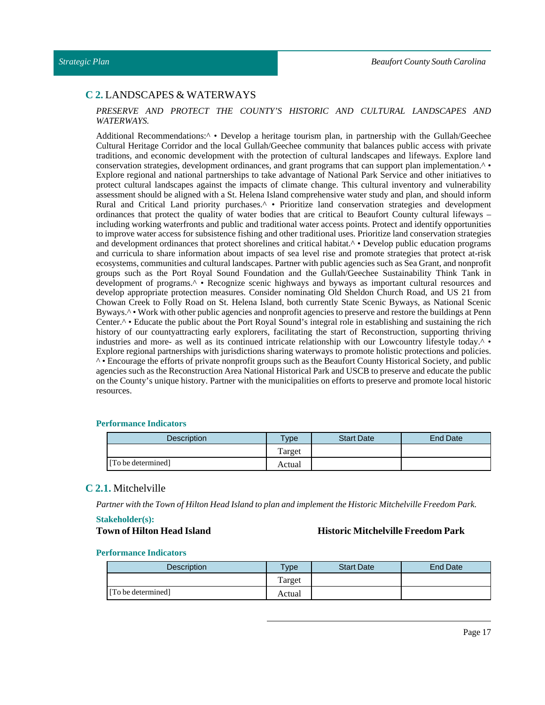## <span id="page-16-0"></span>**C 2.** LANDSCAPES & WATERWAYS

#### *PRESERVE AND PROTECT THE COUNTY'S HISTORIC AND CULTURAL LANDSCAPES AND WATERWAYS.*

Additional Recommendations:^ • Develop a heritage tourism plan, in partnership with the Gullah/Geechee Cultural Heritage Corridor and the local Gullah/Geechee community that balances public access with private traditions, and economic development with the protection of cultural landscapes and lifeways. Explore land conservation strategies, development ordinances, and grant programs that can support plan implementation.^ • Explore regional and national partnerships to take advantage of National Park Service and other initiatives to protect cultural landscapes against the impacts of climate change. This cultural inventory and vulnerability assessment should be aligned with a St. Helena Island comprehensive water study and plan, and should inform Rural and Critical Land priority purchases.^ • Prioritize land conservation strategies and development ordinances that protect the quality of water bodies that are critical to Beaufort County cultural lifeways – including working waterfronts and public and traditional water access points. Protect and identify opportunities to improve water access for subsistence fishing and other traditional uses. Prioritize land conservation strategies and development ordinances that protect shorelines and critical habitat.<sup>^</sup> • Develop public education programs and curricula to share information about impacts of sea level rise and promote strategies that protect at-risk ecosystems, communities and cultural landscapes. Partner with public agencies such as Sea Grant, and nonprofit groups such as the Port Royal Sound Foundation and the Gullah/Geechee Sustainability Think Tank in development of programs.^ • Recognize scenic highways and byways as important cultural resources and develop appropriate protection measures. Consider nominating Old Sheldon Church Road, and US 21 from Chowan Creek to Folly Road on St. Helena Island, both currently State Scenic Byways, as National Scenic Byways.<sup> $\wedge \bullet$ </sup> Work with other public agencies and nonprofit agencies to preserve and restore the buildings at Penn Center.^ • Educate the public about the Port Royal Sound's integral role in establishing and sustaining the rich history of our countyattracting early explorers, facilitating the start of Reconstruction, supporting thriving industries and more- as well as its continued intricate relationship with our Lowcountry lifestyle today.^ • Explore regional partnerships with jurisdictions sharing waterways to promote holistic protections and policies. ^ • Encourage the efforts of private nonprofit groups such as the Beaufort County Historical Society, and public agencies such as the Reconstruction Area National Historical Park and USCB to preserve and educate the public on the County's unique history. Partner with the municipalities on efforts to preserve and promote local historic resources.

#### **Performance Indicators**

| <b>Description</b> | Type   | <b>Start Date</b> | <b>End Date</b> |
|--------------------|--------|-------------------|-----------------|
|                    | Target |                   |                 |
| [To be determined] | Actual |                   |                 |

#### <span id="page-16-1"></span>**C 2.1.** Mitchelville

*Partner with theTown of Hilton Head Island to plan and implementthe Historic Mitchelville Freedom Park.*

## **Stakeholder(s):**

#### **Town of Hilton Head Island Historic Mitchelville Freedom Park**

| Description        | $T$ <sub>V</sub> $pe$ | <b>Start Date</b> | <b>End Date</b> |
|--------------------|-----------------------|-------------------|-----------------|
|                    | l'arget               |                   |                 |
| [To be determined] | Actual                |                   |                 |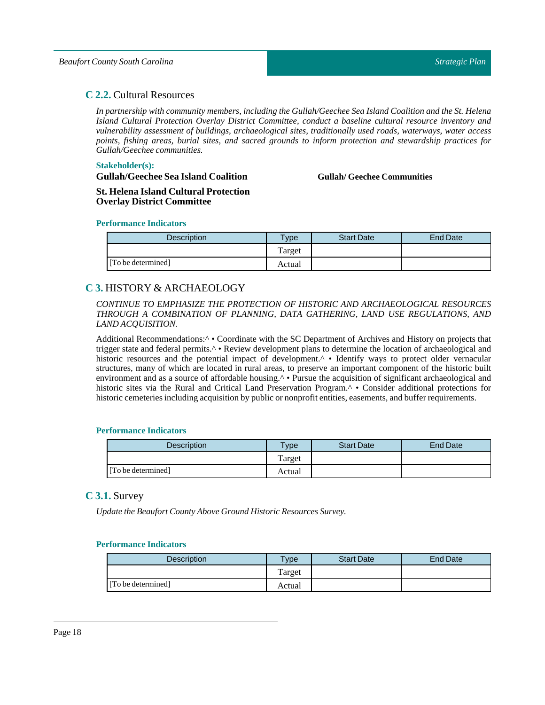## <span id="page-17-0"></span>**C 2.2.** Cultural Resources

*In partnership with community members, including the Gullah/Geechee Sea Island Coalition and the St. Helena Island Cultural Protection Overlay District Committee, conduct a baseline cultural resource inventory and vulnerability assessment of buildings, archaeological sites, traditionally used roads, waterways, water access points, fishing areas, burial sites, and sacred grounds to inform protection and stewardship practices for Gullah/Geechee communities.*

#### **Stakeholder(s):**

**Gullah/Geechee Sea Island Coalition**

**Gullah/ Geechee Communities**

**St. Helena Island Cultural Protection Overlay District Committee**

#### **Performance Indicators**

| <b>Description</b> | $T$ ype | <b>Start Date</b> | End Date |
|--------------------|---------|-------------------|----------|
|                    | Target  |                   |          |
| [To be determined] | Actual  |                   |          |

## <span id="page-17-1"></span>**C 3.** HISTORY & ARCHAEOLOGY

*CONTINUE TO EMPHASIZE THE PROTECTION OF HISTORIC AND ARCHAEOLOGICAL RESOURCES THROUGH A COMBINATION OF PLANNING, DATA GATHERING, LAND USE REGULATIONS, AND LAND ACQUISITION.*

Additional Recommendations:<sup> $\wedge \bullet$ </sup> Coordinate with the SC Department of Archives and History on projects that trigger state and federal permits.^ • Review development plans to determine the location of archaeological and historic resources and the potential impact of development.<sup>^</sup> • Identify ways to protect older vernacular structures, many of which are located in rural areas, to preserve an important component of the historic built environment and as a source of affordable housing.<sup>^</sup> • Pursue the acquisition of significant archaeological and historic sites via the Rural and Critical Land Preservation Program.^ • Consider additional protections for historic cemeteries including acquisition by public or nonprofit entities, easements, and buffer requirements.

## **Performance Indicators**

| <b>Description</b> | $T$ <sub>ype</sub> | <b>Start Date</b> | <b>End Date</b> |
|--------------------|--------------------|-------------------|-----------------|
|                    | Target             |                   |                 |
| [To be determined] | Actual             |                   |                 |

## <span id="page-17-2"></span>**C 3.1.** Survey

*Update the Beaufort County Above Ground Historic Resources Survey.*

| Description        | $v$ pe | <b>Start Date</b> | <b>End Date</b> |
|--------------------|--------|-------------------|-----------------|
|                    | Target |                   |                 |
| [To be determined] | Actual |                   |                 |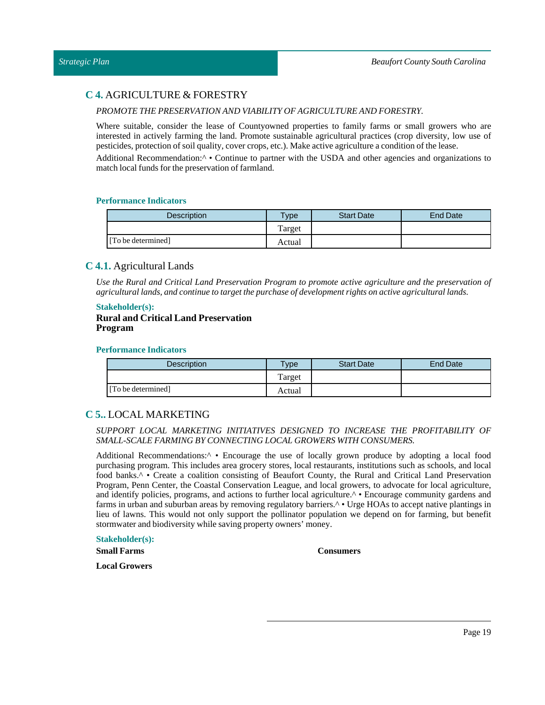## <span id="page-18-0"></span>**C 4.** AGRICULTURE & FORESTRY

#### *PROMOTE THE PRESERVATION AND VIABILITY OF AGRICULTURE AND FORESTRY.*

Where suitable, consider the lease of Countyowned properties to family farms or small growers who are interested in actively farming the land. Promote sustainable agricultural practices (crop diversity, low use of pesticides, protection of soil quality, cover crops, etc.). Make active agriculture a condition of the lease.

Additional Recommendation:^ • Continue to partner with the USDA and other agencies and organizations to match local funds for the preservation of farmland.

#### **Performance Indicators**

| Description        | <b>Type</b> | <b>Start Date</b> | <b>End Date</b> |
|--------------------|-------------|-------------------|-----------------|
|                    | Target      |                   |                 |
| [To be determined] | Actual      |                   |                 |

## <span id="page-18-1"></span>**C 4.1.** Agricultural Lands

*Use the Rural and Critical Land Preservation Program to promote active agriculture and the preservation of agriculturallands, and continue to targetthe purchase of development rights on active agriculturallands.*

#### **Stakeholder(s):**

#### **Rural and Critical Land Preservation Program**

#### **Performance Indicators**

| <b>Description</b> | $T$ <sub>V</sub> $pe$ | <b>Start Date</b> | End Date |
|--------------------|-----------------------|-------------------|----------|
|                    | Target                |                   |          |
| [To be determined] | Actual                |                   |          |

## <span id="page-18-2"></span>**C 5..** LOCAL MARKETING

#### *SUPPORT LOCAL MARKETING INITIATIVES DESIGNED TO INCREASE THE PROFITABILITY OF SMALL-SCALE FARMING BY CONNECTING LOCAL GROWERS WITH CONSUMERS.*

Additional Recommendations:^ • Encourage the use of locally grown produce by adopting a local food purchasing program. This includes area grocery stores, local restaurants, institutions such as schools, and local food banks.^ • Create a coalition consisting of Beaufort County, the Rural and Critical Land Preservation Program, Penn Center, the Coastal Conservation League, and local growers, to advocate for local agriculture, and identify policies, programs, and actions to further local agriculture.<sup>^</sup> • Encourage community gardens and farms in urban and suburban areas by removing regulatory barriers.^ • Urge HOAs to accept native plantings in lieu of lawns. This would not only support the pollinator population we depend on for farming, but benefit stormwater and biodiversity while saving property owners' money.

## **Stakeholder(s):**

**Small Farms**

#### **Consumers**

**Local Growers**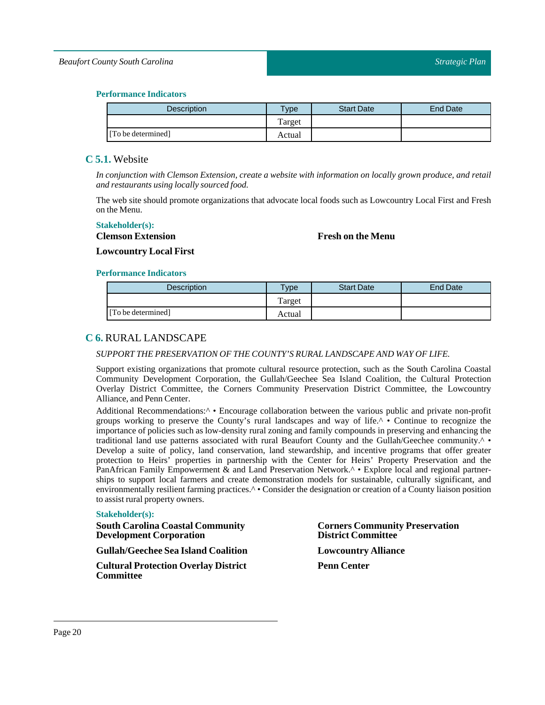## **Performance Indicators**

| Description        | vpe    | <b>Start Date</b> | <b>End Date</b> |
|--------------------|--------|-------------------|-----------------|
|                    | Target |                   |                 |
| [To be determined] | Actual |                   |                 |

## <span id="page-19-0"></span>**C 5.1.** Website

*In conjunction with Clemson Extension, create a website with information on locally grown produce, and retail and restaurants using locally sourced food.*

The web site should promote organizations that advocate local foods such as Lowcountry Local First and Fresh on the Menu.

### **Stakeholder(s):**

## **Clemson Extension**

## **Fresh on the Menu**

**Lowcountry Local First**

#### **Performance Indicators**

| Description        | Type   | <b>Start Date</b> | End Date |
|--------------------|--------|-------------------|----------|
|                    | Target |                   |          |
| [To be determined] | Actual |                   |          |

## <span id="page-19-1"></span>**C 6.** RURAL LANDSCAPE

## *SUPPORTTHE PRESERVATION OF THE COUNTY'S RURALLANDSCAPE AND WAY OF LIFE.*

Support existing organizations that promote cultural resource protection, such as the South Carolina Coastal Community Development Corporation, the Gullah/Geechee Sea Island Coalition, the Cultural Protection Overlay District Committee, the Corners Community Preservation District Committee, the Lowcountry Alliance, and Penn Center.

Additional Recommendations:^ • Encourage collaboration between the various public and private non-profit groups working to preserve the County's rural landscapes and way of life.^ • Continue to recognize the importance of policies such as low-density rural zoning and family compounds in preserving and enhancing the traditional land use patterns associated with rural Beaufort County and the Gullah/Geechee community.^ • Develop a suite of policy, land conservation, land stewardship, and incentive programs that offer greater protection to Heirs' properties in partnership with the Center for Heirs' Property Preservation and the PanAfrican Family Empowerment & and Land Preservation Network.^ • Explore local and regional partnerships to support local farmers and create demonstration models for sustainable, culturally significant, and environmentally resilient farming practices.<sup>^</sup> • Consider the designation or creation of a County liaison position to assist rural property owners.

#### **Stakeholder(s):**

| <b>South Carolina Coastal Community</b><br><b>Development Corporation</b> | <b>Corners Community Preservation</b><br><b>District Committee</b> |
|---------------------------------------------------------------------------|--------------------------------------------------------------------|
| <b>Gullah/Geechee Sea Island Coalition</b>                                | <b>Lowcountry Alliance</b>                                         |
| <b>Cultural Protection Overlay District</b><br><b>Committee</b>           | <b>Penn Center</b>                                                 |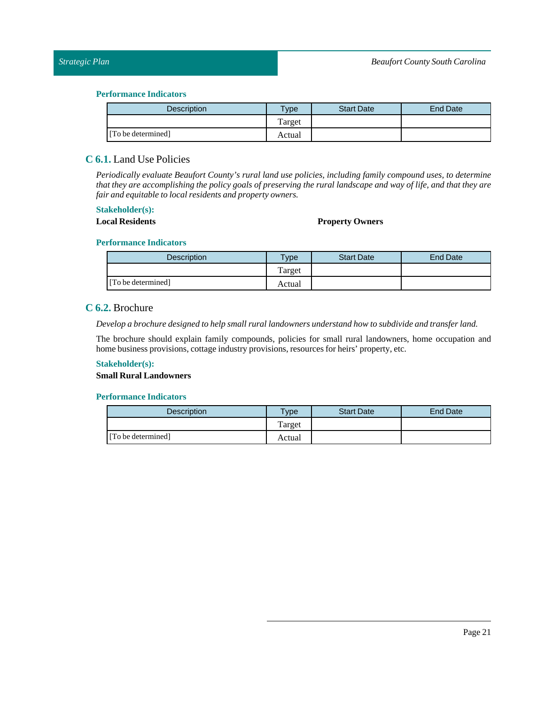#### **Performance Indicators**

| <b>Description</b> | $T$ ype | <b>Start Date</b> | End Date |
|--------------------|---------|-------------------|----------|
|                    | Target  |                   |          |
| [To be determined] | Actual  |                   |          |

## <span id="page-20-0"></span>**C 6.1.** Land Use Policies

*Periodically evaluate Beaufort County's rural land use policies, including family compound uses, to determine* that they are accomplishing the policy goals of preserving the rural landscape and way of life, and that they are *fair and equitable to local residents and property owners.*

#### **Stakeholder(s):**

#### **Local Residents Property Owners**

#### **Performance Indicators**

| <b>Description</b> | $T$ ype | <b>Start Date</b> | End Date |
|--------------------|---------|-------------------|----------|
|                    | Target  |                   |          |
| [To be determined] | Actual  |                   |          |

## <span id="page-20-1"></span>**C 6.2.** Brochure

*Develop a brochure designed to help small rurallandowners understand how to subdivide and transfer land.*

The brochure should explain family compounds, policies for small rural landowners, home occupation and home business provisions, cottage industry provisions, resources for heirs' property, etc.

## **Stakeholder(s):**

#### **Small Rural Landowners**

| <b>Description</b> | vpe    | <b>Start Date</b> | <b>End Date</b> |
|--------------------|--------|-------------------|-----------------|
|                    | Target |                   |                 |
| [To be determined] | Actual |                   |                 |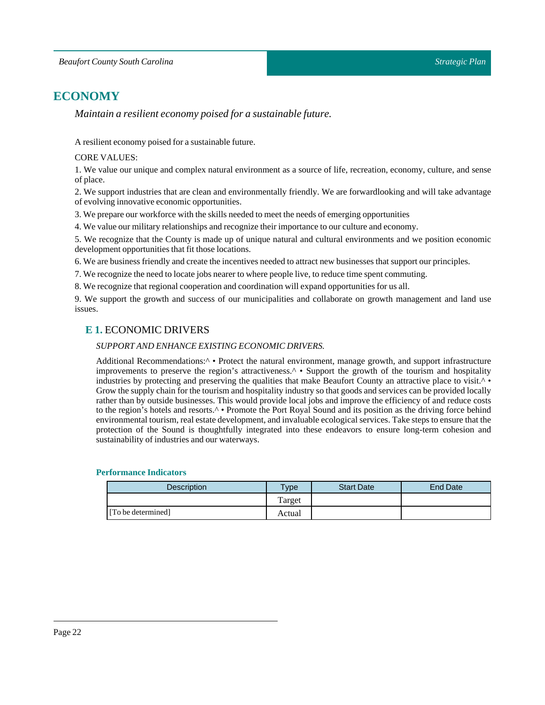# <span id="page-21-0"></span>**ECONOMY**

*Maintain a resilient economy poised for a sustainable future.*

A resilient economy poised for a sustainable future.

## CORE VALUES:

1. We value our unique and complex natural environment as a source of life, recreation, economy, culture, and sense of place.

2. We support industries that are clean and environmentally friendly. We are forwardlooking and will take advantage of evolving innovative economic opportunities.

3. We prepare our workforce with the skills needed to meet the needs of emerging opportunities

4. We value our military relationships and recognize their importance to our culture and economy.

5. We recognize that the County is made up of unique natural and cultural environments and we position economic development opportunities that fit those locations.

6. We are business friendly and create the incentives needed to attract new businesses that support our principles.

7. We recognize the need to locate jobs nearer to where people live, to reduce time spent commuting.

8. We recognize that regional cooperation and coordination will expand opportunities for us all.

<span id="page-21-1"></span>9. We support the growth and success of our municipalities and collaborate on growth management and land use issues.

## **E 1.** ECONOMIC DRIVERS

#### *SUPPORT AND ENHANCE EXISTING ECONOMIC DRIVERS.*

Additional Recommendations:<sup>^</sup> • Protect the natural environment, manage growth, and support infrastructure improvements to preserve the region's attractiveness.^ • Support the growth of the tourism and hospitality industries by protecting and preserving the qualities that make Beaufort County an attractive place to visit. $\wedge \bullet$ Grow the supply chain for the tourism and hospitality industry so that goods and services can be provided locally rather than by outside businesses. This would provide local jobs and improve the efficiency of and reduce costs to the region's hotels and resorts.<sup>^</sup> • Promote the Port Royal Sound and its position as the driving force behind environmental tourism, real estate development, and invaluable ecological services. Take steps to ensure that the protection of the Sound is thoughtfully integrated into these endeavors to ensure long-term cohesion and sustainability of industries and our waterways.

| <b>Description</b> | $T$ <sub>V</sub> pe | <b>Start Date</b> | <b>End Date</b> |
|--------------------|---------------------|-------------------|-----------------|
|                    | m<br>l'arget        |                   |                 |
| [To be determined] | Actual              |                   |                 |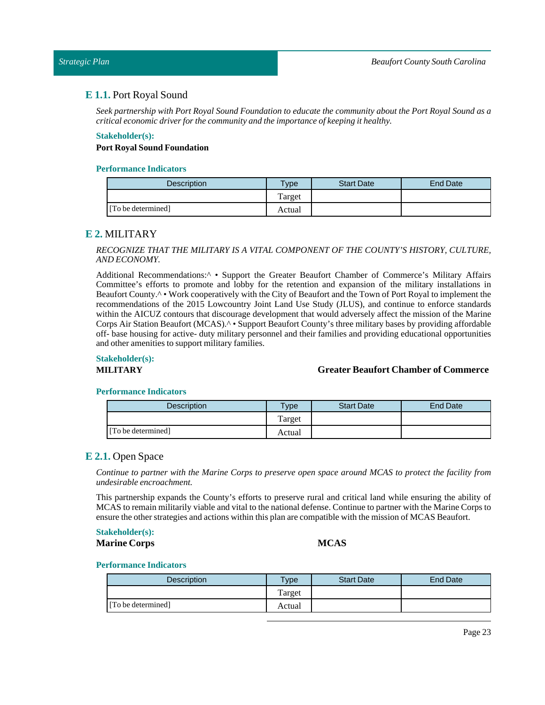#### <span id="page-22-0"></span>*Strategic Plan*

## **E 1.1.** Port Royal Sound

Seek partnership with Port Royal Sound Foundation to educate the community about the Port Royal Sound as a *critical economic driver for the community and the importance of keeping it healthy.*

#### **Stakeholder(s):**

#### **Port Royal Sound Foundation**

#### **Performance Indicators**

| <b>Description</b> | $T$ <sub>ype</sub> | <b>Start Date</b> | <b>End Date</b> |
|--------------------|--------------------|-------------------|-----------------|
|                    | Target             |                   |                 |
| [To be determined] | Actual             |                   |                 |

## <span id="page-22-1"></span>**E 2.** MILITARY

#### *RECOGNIZE THAT THE MILITARY IS A VITAL COMPONENT OF THE COUNTY'S HISTORY, CULTURE, AND ECONOMY.*

Additional Recommendations:^ • Support the Greater Beaufort Chamber of Commerce's Military Affairs Committee's efforts to promote and lobby for the retention and expansion of the military installations in Beaufort County.^ • Work cooperatively with the City of Beaufort and the Town of Port Royal to implement the recommendations of the 2015 Lowcountry Joint Land Use Study (JLUS), and continue to enforce standards within the AICUZ contours that discourage development that would adversely affect the mission of the Marine Corps Air Station Beaufort (MCAS).^ • Support Beaufort County's three military bases by providing affordable off- base housing for active- duty military personnel and their families and providing educational opportunities and other amenities to support military families.

#### **Stakeholder(s):**

#### **MILITARY Greater Beaufort Chamber of Commerce**

#### **Performance Indicators**

| <b>Description</b> | <b>Type</b> | <b>Start Date</b> | End Date |
|--------------------|-------------|-------------------|----------|
|                    | Target      |                   |          |
| [To be determined] | Actual      |                   |          |

## <span id="page-22-2"></span>**E 2.1.** Open Space

Continue to partner with the Marine Corps to preserve open space around MCAS to protect the facility from *undesirable encroachment.*

This partnership expands the County's efforts to preserve rural and critical land while ensuring the ability of MCASto remain militarily viable and vital to the national defense. Continue to partner with the Marine Corps to ensure the other strategies and actions within this plan are compatible with the mission of MCAS Beaufort.

## **Stakeholder(s):**

**Marine Corps MCAS**

| <b>Description</b> | <b>Type</b> | <b>Start Date</b> | End Date |
|--------------------|-------------|-------------------|----------|
|                    | Target      |                   |          |
| [To be determined] | Actual      |                   |          |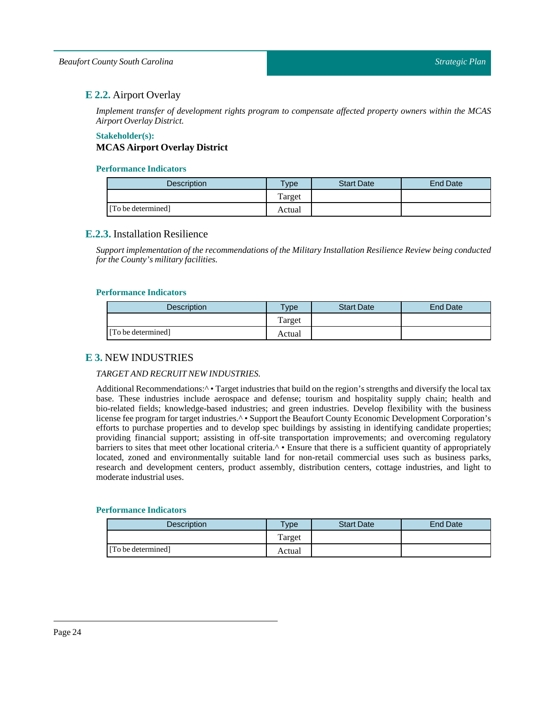## <span id="page-23-0"></span>**E 2.2.** Airport Overlay

*Implement transfer of development rights program to compensate affected property owners within the MCAS Airport Overlay District.*

## **Stakeholder(s): MCAS Airport Overlay District**

## **Performance Indicators**

| Description        | $v$ pe | <b>Start Date</b> | End Date |
|--------------------|--------|-------------------|----------|
|                    | Target |                   |          |
| [To be determined] | Actual |                   |          |

## <span id="page-23-1"></span>**E.2.3.** Installation Resilience

*Support implementation of the recommendations of the Military Installation Resilience Review being conducted for the County's military facilities.*

#### **Performance Indicators**

| <b>Description</b> | $T$ vpe | <b>Start Date</b> | End Date |
|--------------------|---------|-------------------|----------|
|                    | Target  |                   |          |
| [To be determined] | Actual  |                   |          |

## <span id="page-23-2"></span>**E 3.** NEW INDUSTRIES

## *TARGET AND RECRUIT NEW INDUSTRIES.*

Additional Recommendations:<sup> $\wedge \bullet$ </sup> Target industries that build on the region's strengths and diversify the local tax base. These industries include aerospace and defense; tourism and hospitality supply chain; health and bio-related fields; knowledge-based industries; and green industries. Develop flexibility with the business license fee program for target industries.^ • Support the Beaufort County Economic Development Corporation's efforts to purchase properties and to develop spec buildings by assisting in identifying candidate properties; providing financial support; assisting in off-site transportation improvements; and overcoming regulatory barriers to sites that meet other locational criteria.<sup>^</sup> • Ensure that there is a sufficient quantity of appropriately located, zoned and environmentally suitable land for non-retail commercial uses such as business parks, research and development centers, product assembly, distribution centers, cottage industries, and light to moderate industrial uses.

| <b>Description</b> | $T$ <sub>V</sub> pe | <b>Start Date</b> | <b>End Date</b> |
|--------------------|---------------------|-------------------|-----------------|
|                    | Target              |                   |                 |
| [To be determined] | Actual              |                   |                 |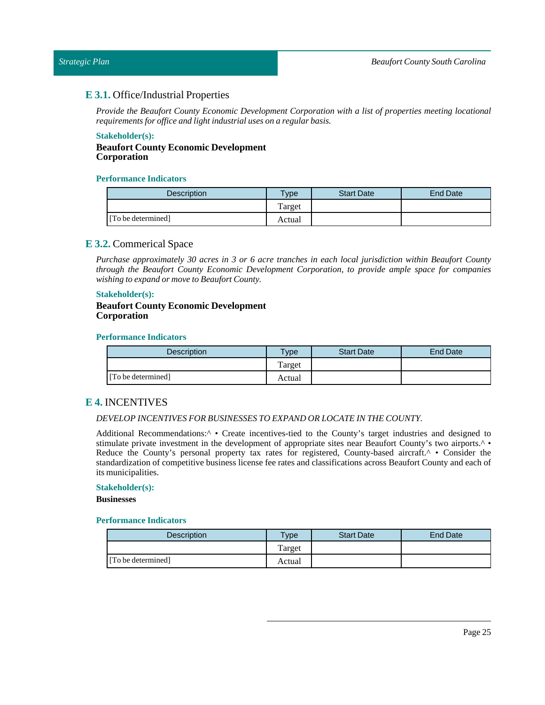## <span id="page-24-0"></span>**E 3.1.** Office/Industrial Properties

*Provide the Beaufort County Economic Development Corporation with a list of properties meeting locational requirements for office and light industrial uses on a regular basis.* 

#### **Stakeholder(s):**

**Beaufort County Economic Development Corporation**

#### **Performance Indicators**

| <b>Description</b> | <b>Vpe</b> | <b>Start Date</b> | End Date |
|--------------------|------------|-------------------|----------|
|                    | Target     |                   |          |
| [To be determined] | Actual     |                   |          |

## <span id="page-24-1"></span>**E 3.2.** Commerical Space

*Purchase approximately 30 acres in 3 or 6 acre tranches in each local jurisdiction within Beaufort County through the Beaufort County Economic Development Corporation, to provide ample space for companies wishing to expand or move to Beaufort County.*

#### **Stakeholder(s):**

#### **Beaufort County Economic Development Corporation**

#### **Performance Indicators**

| <b>Description</b> | $v_{\rm p}$ | <b>Start Date</b> | <b>End Date</b> |
|--------------------|-------------|-------------------|-----------------|
|                    | Target      |                   |                 |
| [To be determined] | Actual      |                   |                 |

## <span id="page-24-2"></span>**E 4.** INCENTIVES

#### *DEVELOP INCENTIVES FOR BUSINESSESTO EXPAND OR LOCATE IN THE COUNTY.*

Additional Recommendations:^ • Create incentives-tied to the County's target industries and designed to stimulate private investment in the development of appropriate sites near Beaufort County's two airports.^ • Reduce the County's personal property tax rates for registered, County-based aircraft.<sup> $\land \bullet$ </sup> Consider the standardization of competitive business license fee rates and classifications across Beaufort County and each of its municipalities.

#### **Stakeholder(s):**

**Businesses**

| <b>Description</b> | Type    | <b>Start Date</b> | End Date |
|--------------------|---------|-------------------|----------|
|                    | l'arget |                   |          |
| [To be determined] | Actual  |                   |          |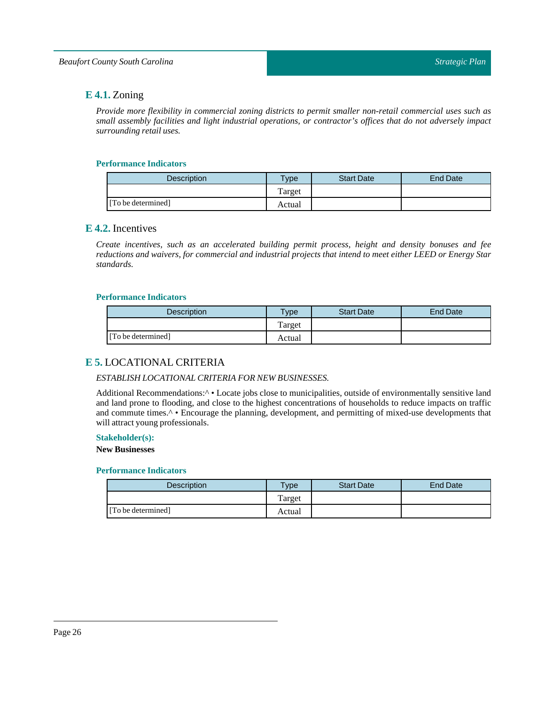## <span id="page-25-0"></span>**E 4.1.** Zoning

*Provide more flexibility in commercial zoning districts to permit smaller non-retail commercial uses such as small assembly facilities and light industrial operations, or contractor's offices that do not adversely impact surrounding retail uses.*

## **Performance Indicators**

| <b>Description</b> | $T$ vpe | <b>Start Date</b> | End Date |
|--------------------|---------|-------------------|----------|
|                    | l'arget |                   |          |
| [To be determined] | Actual  |                   |          |

## <span id="page-25-1"></span>**E 4.2.** Incentives

*Create incentives, such as an accelerated building permit process, height and density bonuses and fee* reductions and waivers, for commercial and industrial projects that intend to meet either LEED or Energy Star *standards.*

## **Performance Indicators**

| <b>Description</b> | $T$ ype | <b>Start Date</b> | End Date |
|--------------------|---------|-------------------|----------|
|                    | Target  |                   |          |
| [To be determined] | Actual  |                   |          |

## <span id="page-25-2"></span>**E 5.** LOCATIONAL CRITERIA

## *ESTABLISH LOCATIONAL CRITERIA FOR NEW BUSINESSES.*

Additional Recommendations:<sup> $\wedge \bullet$ </sup> Locate jobs close to municipalities, outside of environmentally sensitive land and land prone to flooding, and close to the highest concentrations of households to reduce impacts on traffic and commute times.<sup>^</sup> • Encourage the planning, development, and permitting of mixed-use developments that will attract young professionals.

### **Stakeholder(s):**

**New Businesses**

| <b>Description</b> | $T$ <sub>V</sub> pe | <b>Start Date</b> | <b>End Date</b> |
|--------------------|---------------------|-------------------|-----------------|
|                    | Target              |                   |                 |
| [To be determined] | Actual              |                   |                 |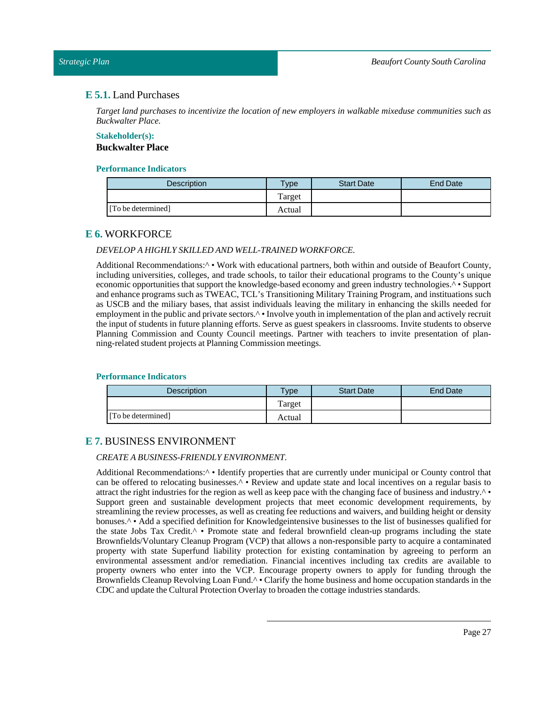#### <span id="page-26-0"></span>*Strategic Plan*

## **E 5.1.** Land Purchases

*Target land purchases to incentivize the location of new employers in walkable mixeduse communities such as Buckwalter Place.*

#### **Stakeholder(s): Buckwalter Place**

#### **Performance Indicators**

| <b>Description</b> | Type   | <b>Start Date</b> | End Date |
|--------------------|--------|-------------------|----------|
|                    | Target |                   |          |
| [To be determined] | Actual |                   |          |

## <span id="page-26-1"></span>**E 6.** WORKFORCE

## *DEVELOP A HIGHLYSKILLED AND WELL-TRAINED WORKFORCE.*

Additional Recommendations:<sup>^</sup> • Work with educational partners, both within and outside of Beaufort County, including universities, colleges, and trade schools, to tailor their educational programs to the County's unique economic opportunities that support the knowledge-based economy and green industry technologies.^ • Support and enhance programs such as TWEAC, TCL's Transitioning Military Training Program, and instituations such as USCB and the miliary bases, that assist individuals leaving the military in enhancing the skills needed for employment in the public and private sectors.<sup>^</sup> • Involve youth in implementation of the plan and actively recruit the input of students in future planning efforts. Serve as guest speakers in classrooms. Invite students to observe Planning Commission and County Council meetings. Partner with teachers to invite presentation of planning-related student projects atPlanning Commission meetings.

#### **Performance Indicators**

| Description        | $v$ pe | <b>Start Date</b> | End Date |
|--------------------|--------|-------------------|----------|
|                    | Target |                   |          |
| [To be determined] | Actual |                   |          |

## <span id="page-26-2"></span>**E 7.** BUSINESS ENVIRONMENT

## *CREATE A BUSINESS-FRIENDLY ENVIRONMENT.*

Additional Recommendations:<sup>^</sup> • Identify properties that are currently under municipal or County control that can be offered to relocating businesses.^ • Review and update state and local incentives on a regular basis to attract the right industries for the region as well as keep pace with the changing face of business and industry. $\wedge \bullet$ Support green and sustainable development projects that meet economic development requirements, by streamlining the review processes, as well as creating fee reductions and waivers, and building height or density bonuses.^ • Add a specified definition for Knowledgeintensive businesses to the list of businesses qualified for the state Jobs Tax Credit.^ • Promote state and federal brownfield clean-up programs including the state Brownfields/Voluntary Cleanup Program (VCP) that allows a non-responsible party to acquire a contaminated property with state Superfund liability protection for existing contamination by agreeing to perform an environmental assessment and/or remediation. Financial incentives including tax credits are available to property owners who enter into the VCP. Encourage property owners to apply for funding through the Brownfields Cleanup Revolving Loan Fund.<sup>^</sup> • Clarify the home business and home occupation standards in the CDC and update the Cultural Protection Overlay to broaden the cottage industries standards.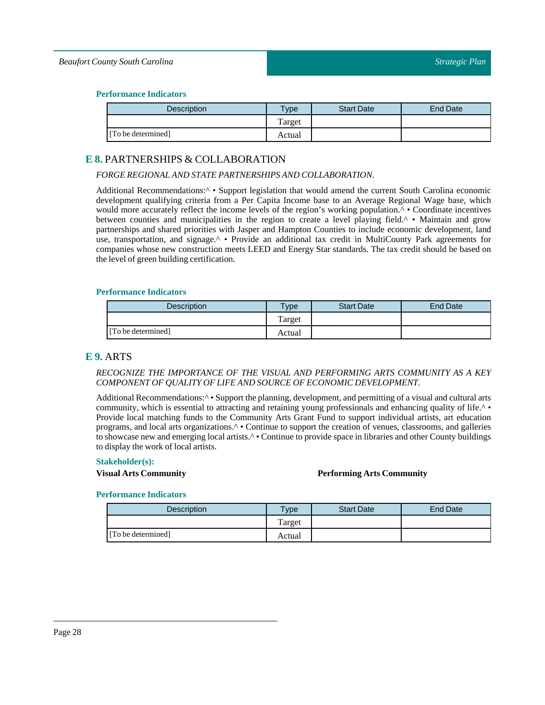#### **Performance Indicators**

| Description        | Type   | <b>Start Date</b> | End Date |
|--------------------|--------|-------------------|----------|
|                    | Target |                   |          |
| [To be determined] | Actual |                   |          |

## <span id="page-27-0"></span>**E 8.** PARTNERSHIPS & COLLABORATION

## *FORGE REGIONAL AND STATE PARTNERSHIPS AND COLLABORATION.*

Additional Recommendations:<sup>^</sup> • Support legislation that would amend the current South Carolina economic development qualifying criteria from a Per Capita Income base to an Average Regional Wage base, which would more accurately reflect the income levels of the region's working population.<sup>^</sup> • Coordinate incentives between counties and municipalities in the region to create a level playing field.^ • Maintain and grow partnerships and shared priorities with Jasper and Hampton Counties to include economic development, land use, transportation, and signage.^ • Provide an additional tax credit in MultiCounty Park agreements for companies whose new construction meets LEED and Energy Star standards. The tax credit should be based on the level of green building certification.

#### **Performance Indicators**

| Description        | $T$ <sub>V</sub> pe | <b>Start Date</b> | End Date |
|--------------------|---------------------|-------------------|----------|
|                    | Target              |                   |          |
| [To be determined] | Actual              |                   |          |

## <span id="page-27-1"></span>**E 9.** ARTS

#### *RECOGNIZE THE IMPORTANCE OF THE VISUAL AND PERFORMING ARTS COMMUNITY AS A KEY COMPONENT OF QUALITY OF LIFE AND SOURCE OF ECONOMIC DEVELOPMENT.*

Additional Recommendations:<sup> $\wedge \bullet$ </sup> Support the planning, development, and permitting of a visual and cultural arts community, which is essential to attracting and retaining young professionals and enhancing quality of life.^ • Provide local matching funds to the Community Arts Grant Fund to support individual artists, art education programs, and local arts organizations.^ • Continue to support the creation of venues, classrooms, and galleries to showcase new and emerging local artists.<sup> $\wedge \bullet$ </sup> Continue to provide space in libraries and other County buildings to display the work of local artists.

#### **Stakeholder(s):**

#### **Visual Arts Community Performing Arts Community**

| <b>Description</b> | $v_{\rm p}$ | <b>Start Date</b> | End Date |
|--------------------|-------------|-------------------|----------|
|                    | Target      |                   |          |
| [To be determined] | Actual      |                   |          |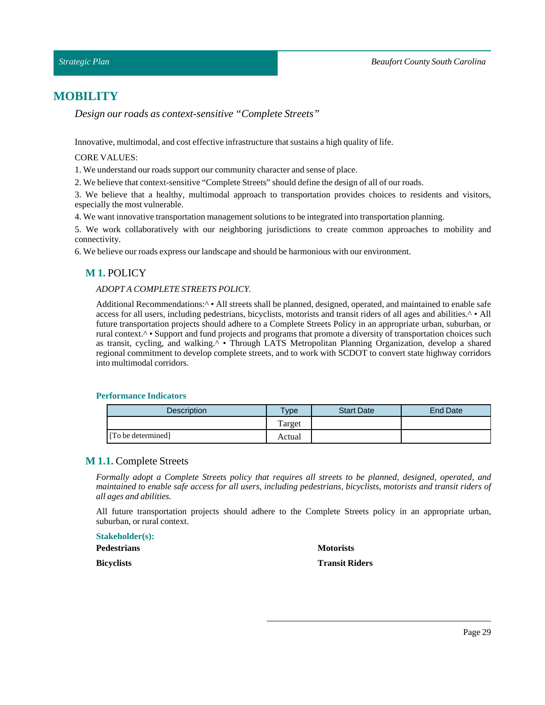# <span id="page-28-0"></span>**MOBILITY**

*Design our roads as context-sensitive "Complete Streets"*

Innovative, multimodal, and cost effective infrastructure that sustains a high quality of life.

#### CORE VALUES:

1. We understand our roads support our community character and sense of place.

2. We believe that context-sensitive "Complete Streets" should define the design of all of our roads.

3. We believe that a healthy, multimodal approach to transportation provides choices to residents and visitors, especially the most vulnerable.

4. We wantinnovative transportation management solutions to be integrated into transportation planning.

5. We work collaboratively with our neighboring jurisdictions to create common approaches to mobility and connectivity.

<span id="page-28-1"></span>6. We believe our roads express our landscape and should be harmonious with our environment.

## **M 1.** POLICY

## *ADOPT A COMPLETE STREETS POLICY.*

Additional Recommendations: $\wedge \cdot$  All streets shall be planned, designed, operated, and maintained to enable safe access for all users, including pedestrians, bicyclists, motorists and transit riders of all ages and abilities.^ • All future transportation projects should adhere to a Complete Streets Policy in an appropriate urban, suburban, or rural context.^ • Support and fund projects and programs that promote a diversity of transportation choices such as transit, cycling, and walking.^ • Through LATS Metropolitan Planning Organization, develop a shared regional commitment to develop complete streets, and to work with SCDOT to convert state highway corridors into multimodal corridors.

#### **Performance Indicators**

| <b>Description</b> | $T$ <sub>ype</sub> | <b>Start Date</b> | End Date |
|--------------------|--------------------|-------------------|----------|
|                    | Target             |                   |          |
| [To be determined] | Actual             |                   |          |

## <span id="page-28-2"></span>**M 1.1.** Complete Streets

*Formally adopt a Complete Streets policy that requires all streets to be planned, designed, operated, and* maintained to enable safe access for all users, including pedestrians, bicyclists, motorists and transit riders of *all ages and abilities.*

All future transportation projects should adhere to the Complete Streets policy in an appropriate urban, suburban, or rural context.

| <b>Stakeholder(s):</b> |  |  |  |
|------------------------|--|--|--|
| <b>Pedestrians</b>     |  |  |  |
| <b>Bicyclists</b>      |  |  |  |

#### **Motorists**

## **Transit Riders**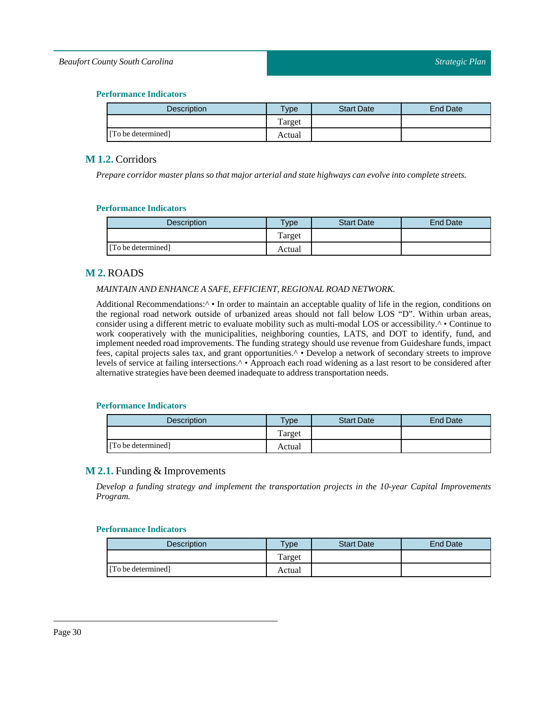## *Beaufort County South Carolina*

## **Performance Indicators**

| Description        | Type   | <b>Start Date</b> | <b>End Date</b> |
|--------------------|--------|-------------------|-----------------|
|                    | Target |                   |                 |
| [To be determined] | Actual |                   |                 |

## <span id="page-29-0"></span>**M 1.2.** Corridors

*Prepare corridor master plans so that major arterial and state highways can evolve into complete streets.*

## **Performance Indicators**

| <b>Description</b> | <b>Type</b> | <b>Start Date</b> | End Date |
|--------------------|-------------|-------------------|----------|
|                    | Target      |                   |          |
| [To be determined] | Actual      |                   |          |

## <span id="page-29-1"></span>**M 2.** ROADS

## *MAINTAIN AND ENHANCE A SAFE, EFFICIENT, REGIONAL ROAD NETWORK.*

Additional Recommendations:<sup> $\wedge \bullet$ </sup> In order to maintain an acceptable quality of life in the region, conditions on the regional road network outside of urbanized areas should not fall below LOS "D". Within urban areas, consider using a different metric to evaluate mobility such as multi-modal LOS or accessibility.^ • Continue to work cooperatively with the municipalities, neighboring counties, LATS, and DOT to identify, fund, and implement needed road improvements. The funding strategy should use revenue from Guideshare funds, impact fees, capital projects sales tax, and grant opportunities.^ • Develop a network of secondary streets to improve levels of service at failing intersections.^ • Approach each road widening as a last resort to be considered after alternative strategies have been deemed inadequate to address transportation needs.

## **Performance Indicators**

| Description        | vpe    | <b>Start Date</b> | <b>End Date</b> |
|--------------------|--------|-------------------|-----------------|
|                    | Target |                   |                 |
| [To be determined] | Actual |                   |                 |

## <span id="page-29-2"></span>**M 2.1.** Funding & Improvements

*Develop a funding strategy and implement the transportation projects in the 10-year Capital Improvements Program.*

| Description        | <b>Type</b> | <b>Start Date</b> | End Date |
|--------------------|-------------|-------------------|----------|
|                    | Target      |                   |          |
| [To be determined] | Actual      |                   |          |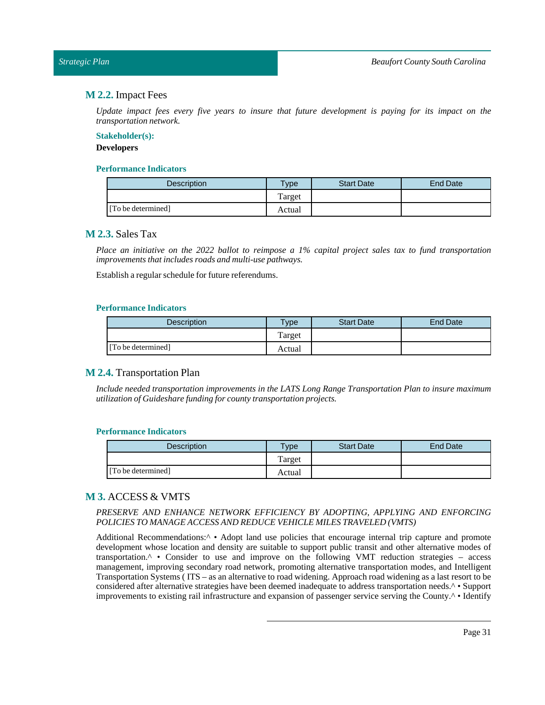#### <span id="page-30-0"></span>*Strategic Plan*

## **M 2.2.** Impact Fees

Update impact fees every five years to insure that future development is paying for its impact on the *transportation network.*

#### **Stakeholder(s):**

#### **Developers**

## **Performance Indicators**

| Description        | Type   | <b>Start Date</b> | End Date |
|--------------------|--------|-------------------|----------|
|                    | Target |                   |          |
| [To be determined] | Actual |                   |          |

## <span id="page-30-1"></span>**M 2.3.** Sales Tax

Place an initiative on the 2022 ballot to reimpose a 1% capital project sales tax to fund transportation *improvements thatincludes roads and multi-use pathways.*

Establish a regular schedule for future referendums.

#### **Performance Indicators**

| <b>Description</b> | vpe    | <b>Start Date</b> | <b>End Date</b> |
|--------------------|--------|-------------------|-----------------|
|                    | Target |                   |                 |
| [To be determined] | Actual |                   |                 |

## <span id="page-30-2"></span>**M 2.4.** Transportation Plan

*Include needed transportation improvements in the LATS Long Range Transportation Plan to insure maximum utilization of Guideshare funding for county transportation projects.*

## **Performance Indicators**

| <b>Description</b> | $T$ ype | <b>Start Date</b> | End Date |
|--------------------|---------|-------------------|----------|
|                    | Target  |                   |          |
| [To be determined] | Actual  |                   |          |

## <span id="page-30-3"></span>**M 3.** ACCESS & VMTS

## *PRESERVE AND ENHANCE NETWORK EFFICIENCY BY ADOPTING, APPLYING AND ENFORCING POLICIESTO MANAGE ACCESS AND REDUCE VEHICLE MILESTRAVELED (VMTS)*

Additional Recommendations:<sup> $\wedge \bullet$ </sup> Adopt land use policies that encourage internal trip capture and promote development whose location and density are suitable to support public transit and other alternative modes of transportation. $\wedge$  • Consider to use and improve on the following VMT reduction strategies – access management, improving secondary road network, promoting alternative transportation modes, and Intelligent Transportation Systems ( ITS – as an alternative to road widening. Approach road widening as a last resort to be considered after alternative strategies have been deemed inadequate to address transportation needs.^ • Support improvements to existing rail infrastructure and expansion of passenger service serving the County.^ • Identify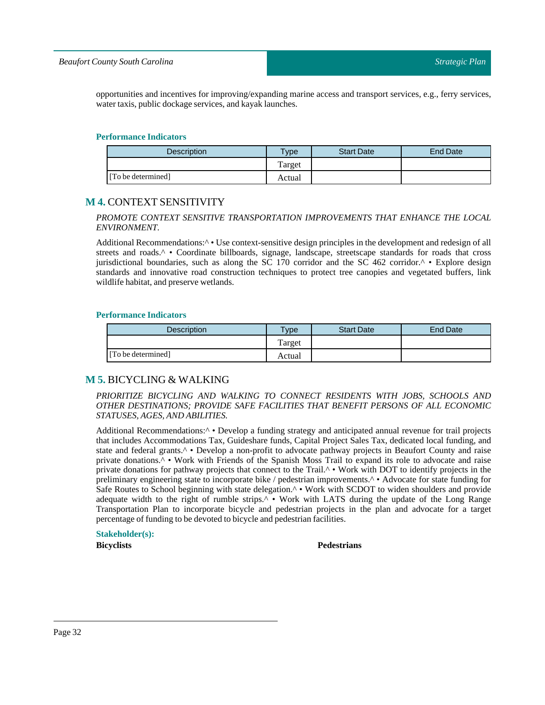#### *Beaufort County South Carolina*

opportunities and incentives for improving/expanding marine access and transport services, e.g., ferry services, water taxis, public dockage services, and kayak launches.

#### **Performance Indicators**

| <b>Description</b> | $v_{\rm p}$ | <b>Start Date</b> | End Date |
|--------------------|-------------|-------------------|----------|
|                    | Target      |                   |          |
| [To be determined] | Actual      |                   |          |

## <span id="page-31-0"></span>**M 4.** CONTEXT SENSITIVITY

#### *PROMOTE CONTEXT SENSITIVE TRANSPORTATION IMPROVEMENTS THAT ENHANCE THE LOCAL ENVIRONMENT.*

Additional Recommendations: $\wedge \cdot$  Use context-sensitive design principles in the development and redesign of all streets and roads.<sup>^</sup> • Coordinate billboards, signage, landscape, streetscape standards for roads that cross jurisdictional boundaries, such as along the  $S\bar{C}$  170 corridor and the  $S\bar{C}$  462 corridor.<sup> $\land \bullet$ </sup> Explore design standards and innovative road construction techniques to protect tree canopies and vegetated buffers, link wildlife habitat, and preserve wetlands.

#### **Performance Indicators**

| <b>Description</b> | Type   | <b>Start Date</b> | End Date |
|--------------------|--------|-------------------|----------|
|                    | Target |                   |          |
| [To be determined] | Actual |                   |          |

## <span id="page-31-1"></span>**M 5.** BICYCLING & WALKING

### *PRIORITIZE BICYCLING AND WALKING TO CONNECT RESIDENTS WITH JOBS, SCHOOLS AND OTHER DESTINATIONS; PROVIDE SAFE FACILITIES THAT BENEFIT PERSONS OF ALL ECONOMIC STATUSES, AGES, AND ABILITIES.*

Additional Recommendations:<sup>^</sup> • Develop a funding strategy and anticipated annual revenue for trail projects that includes Accommodations Tax, Guideshare funds, Capital Project Sales Tax, dedicated local funding, and state and federal grants.<sup>^</sup> • Develop a non-profit to advocate pathway projects in Beaufort County and raise private donations.^ • Work with Friends of the Spanish Moss Trail to expand its role to advocate and raise private donations for pathway projects that connect to the Trail.^ • Work with DOT to identify projects in the preliminary engineering state to incorporate bike / pedestrian improvements.^ • Advocate for state funding for Safe Routes to School beginning with state delegation.^ • Work with SCDOT to widen shoulders and provide adequate width to the right of rumble strips. $\sim \bullet$  Work with LATS during the update of the Long Range Transportation Plan to incorporate bicycle and pedestrian projects in the plan and advocate for a target percentage of funding to be devoted to bicycle and pedestrian facilities.

## **Stakeholder(s):**

#### **Bicyclists Pedestrians**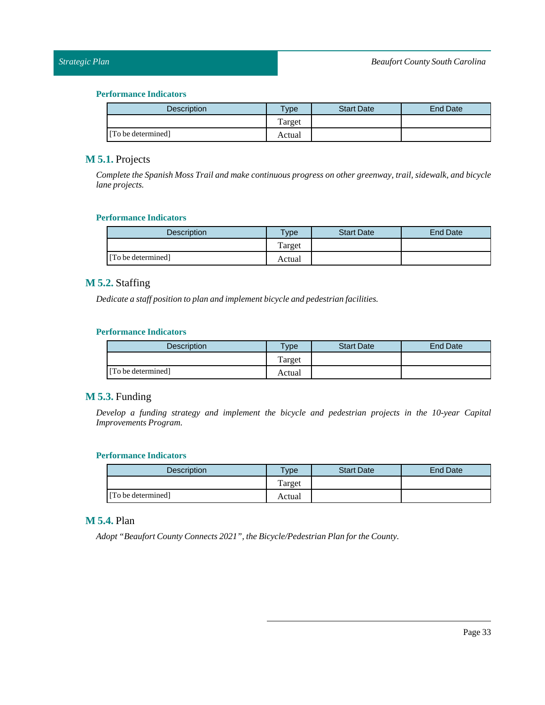## **Performance Indicators**

| <b>Description</b> | <b>Vpe</b> | <b>Start Date</b> | <b>End Date</b> |
|--------------------|------------|-------------------|-----------------|
|                    | Target     |                   |                 |
| [To be determined] | Actual     |                   |                 |

## <span id="page-32-0"></span>**M 5.1.** Projects

*Complete the Spanish Moss Trail and make continuous progress on other greenway, trail, sidewalk, and bicycle lane projects.*

## **Performance Indicators**

| Description        | $T$ ype | <b>Start Date</b> | <b>End Date</b> |
|--------------------|---------|-------------------|-----------------|
|                    | Target  |                   |                 |
| [To be determined] | Actual  |                   |                 |

## <span id="page-32-1"></span>**M 5.2.** Staffing

*Dedicate a staff position to plan and implement bicycle and pedestrian facilities.*

## **Performance Indicators**

| <b>Description</b> | $T$ ype | <b>Start Date</b> | End Date |
|--------------------|---------|-------------------|----------|
|                    | Target  |                   |          |
| [To be determined] | Actual  |                   |          |

## <span id="page-32-2"></span>**M 5.3.** Funding

*Develop a funding strategy and implement the bicycle and pedestrian projects in the 10-year Capital Improvements Program.*

## **Performance Indicators**

| <b>Description</b> | <b>Vpe</b> | <b>Start Date</b> | <b>End Date</b> |
|--------------------|------------|-------------------|-----------------|
|                    | Target     |                   |                 |
| [To be determined] | Actual     |                   |                 |

## <span id="page-32-3"></span>**M 5.4.** Plan

*Adopt* "Beaufort County Connects 2021", the Bicycle/Pedestrian Plan for the County.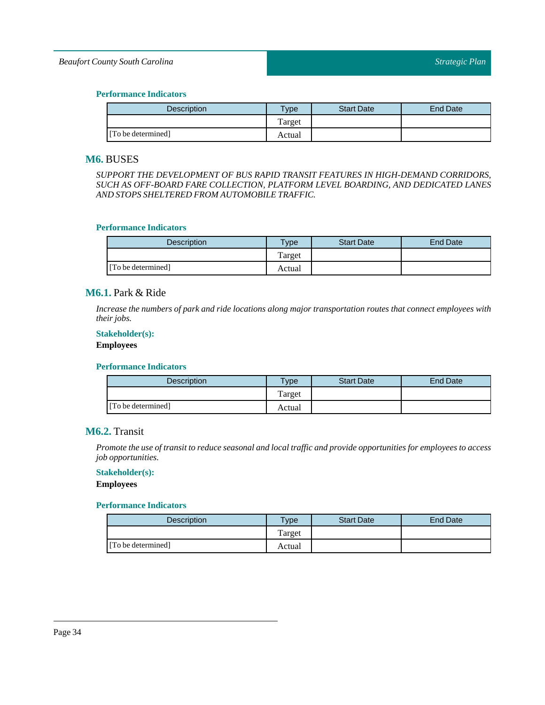## *Beaufort County South Carolina*

#### **Performance Indicators**

| <b>Description</b> | <b>Type</b> | <b>Start Date</b> | End Date |
|--------------------|-------------|-------------------|----------|
|                    | Target      |                   |          |
| [To be determined] | Actual      |                   |          |

## <span id="page-33-0"></span>**M6.** BUSES

*SUPPORT THE DEVELOPMENT OF BUS RAPID TRANSIT FEATURES IN HIGH-DEMAND CORRIDORS, SUCH AS OFF-BOARD FARE COLLECTION, PLATFORM LEVEL BOARDING, AND DEDICATED LANES AND STOPS SHELTERED FROM AUTOMOBILE TRAFFIC.*

#### **Performance Indicators**

| <b>Description</b> | <b>Type</b> | <b>Start Date</b> | End Date |
|--------------------|-------------|-------------------|----------|
|                    | Target      |                   |          |
| [To be determined] | Actual      |                   |          |

## <span id="page-33-1"></span>**M6.1.** Park & Ride

*Increase the numbers of park and ride locations along major transportation routes that connect employees with their jobs.*

## **Stakeholder(s):**

## **Employees**

#### **Performance Indicators**

| <b>Description</b> | $T$ <sub>V</sub> pe | <b>Start Date</b> | End Date |
|--------------------|---------------------|-------------------|----------|
|                    | Target              |                   |          |
| [To be determined] | Actual              |                   |          |

## <span id="page-33-2"></span>**M6.2.** Transit

*Promote the use oftransitto reduce seasonal and localtraffic and provide opportunities for employees to access job opportunities.*

#### **Stakeholder(s):**

**Employees**

| <b>Description</b> | $T$ <sub>ype</sub> | <b>Start Date</b> | End Date |
|--------------------|--------------------|-------------------|----------|
|                    | Target             |                   |          |
| [To be determined] | Actual             |                   |          |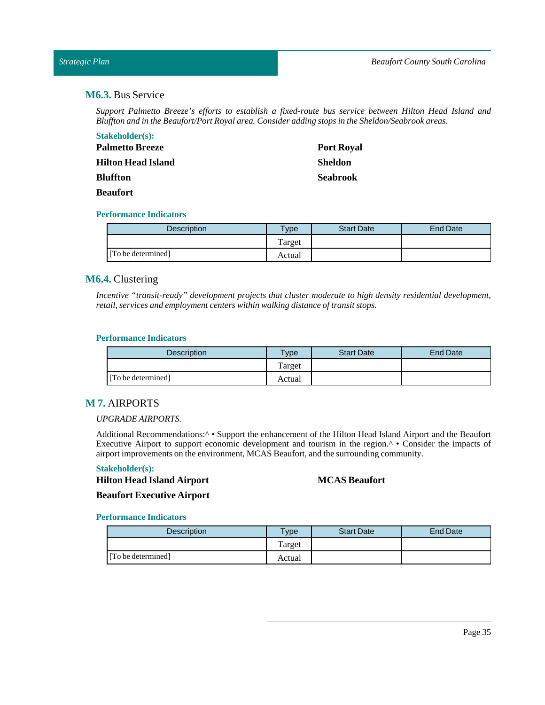## <span id="page-34-0"></span>*Strategic Plan*

## **M6.3.** Bus Service

*Support Palmetto Breeze's efforts to establish a fixed-route bus service between Hilton Head Island and Bluffton and in the Beaufort/Port Royal area. Consider adding stops in the Sheldon/Seabrook areas.*

| <b>Stakeholder(s):</b> |                   |
|------------------------|-------------------|
| <b>Palmetto Breeze</b> | <b>Port Royal</b> |
| Hilton Head Island     | <b>Sheldon</b>    |
| Bluffton               | <b>Seabrook</b>   |
| Beaufort               |                   |

#### **Performance Indicators**

| <b>Description</b> | <b>Type</b> | <b>Start Date</b> | End Date |
|--------------------|-------------|-------------------|----------|
|                    | Target      |                   |          |
| [To be determined] | Actual      |                   |          |

## <span id="page-34-1"></span>**M6.4.** Clustering

*Incentive "transit-ready" development projects that cluster moderate to high density residential development, retail, services and employment centers within walking distance oftransit stops.*

#### **Performance Indicators**

| <b>Description</b> | <b>Type</b> | <b>Start Date</b> | End Date |
|--------------------|-------------|-------------------|----------|
|                    | Target      |                   |          |
| [To be determined] | Actual      |                   |          |

## <span id="page-34-2"></span>**M 7.** AIRPORTS

#### *UPGRADE AIRPORTS.*

Additional Recommendations:^ • Support the enhancement of the Hilton Head Island Airport and the Beaufort Executive Airport to support economic development and tourism in the region.^ • Consider the impacts of airportimprovements on the environment, MCAS Beaufort, and the surrounding community.

## **Stakeholder(s):**

**MCAS Beaufort**

**Hilton Head Island Airport Beaufort Executive Airport**

| <b>Description</b> | $T$ <sub>V</sub> $pe$ | <b>Start Date</b> | End Date |
|--------------------|-----------------------|-------------------|----------|
|                    | Target                |                   |          |
| [To be determined] | Actual                |                   |          |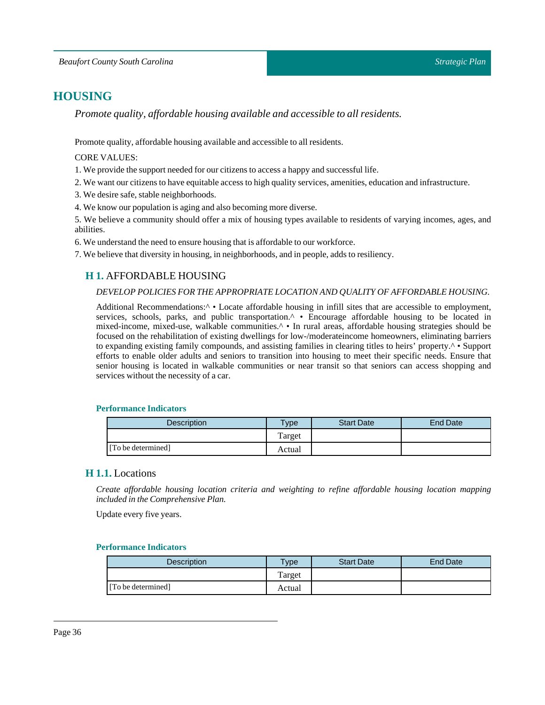# <span id="page-35-0"></span>**HOUSING**

*Promote quality, affordable housing available and accessible to all residents.*

Promote quality, affordable housing available and accessible to all residents.

#### CORE VALUES:

1. We provide the support needed for our citizens to access a happy and successfullife.

2. We want our citizens to have equitable access to high quality services, amenities, education and infrastructure.

3. We desire safe, stable neighborhoods.

4. We know our population is aging and also becoming more diverse.

5. We believe a community should offer a mix of housing types available to residents of varying incomes, ages, and abilities.

6. We understand the need to ensure housing that is affordable to our workforce.

<span id="page-35-1"></span>7. We believe that diversity in housing, in neighborhoods, and in people, adds to resiliency.

## **H 1.** AFFORDABLE HOUSING

#### *DEVELOP POLICIES FOR THE APPROPRIATE LOCATION AND QUALITY OF AFFORDABLE HOUSING.*

Additional Recommendations:<sup>^</sup> • Locate affordable housing in infill sites that are accessible to employment, services, schools, parks, and public transportation.<sup>^</sup> • Encourage affordable housing to be located in mixed-income, mixed-use, walkable communities.<sup>^</sup> • In rural areas, affordable housing strategies should be focused on the rehabilitation of existing dwellings for low-/moderateincome homeowners, eliminating barriers to expanding existing family compounds, and assisting families in clearing titles to heirs' property.^ • Support efforts to enable older adults and seniors to transition into housing to meet their specific needs. Ensure that senior housing is located in walkable communities or near transit so that seniors can access shopping and services without the necessity of a car.

#### **Performance Indicators**

| <b>Description</b> | <b>Type</b> | <b>Start Date</b> | End Date |
|--------------------|-------------|-------------------|----------|
|                    | Target      |                   |          |
| [To be determined] | Actual      |                   |          |

## <span id="page-35-2"></span>**H 1.1.** Locations

*Create affordable housing location criteria and weighting to refine affordable housing location mapping included in the Comprehensive Plan.*

Update every five years.

| Description        | $v$ pe | <b>Start Date</b> | <b>End Date</b> |
|--------------------|--------|-------------------|-----------------|
|                    | Target |                   |                 |
| [To be determined] | Actual |                   |                 |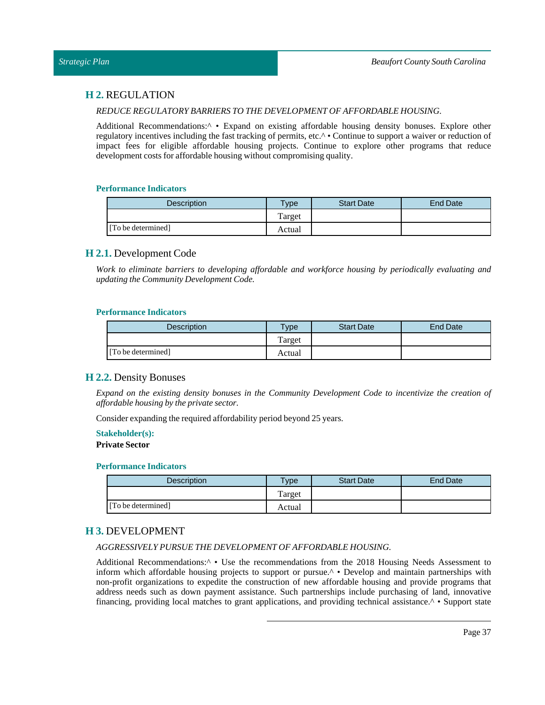## <span id="page-36-0"></span>**H 2.** REGULATION

#### *REDUCE REGULATORY BARRIERSTO THE DEVELOPMENT OF AFFORDABLE HOUSING.*

Additional Recommendations:<sup>^</sup> • Expand on existing affordable housing density bonuses. Explore other regulatory incentives including the fast tracking of permits, etc.^ • Continue to support a waiver or reduction of impact fees for eligible affordable housing projects. Continue to explore other programs that reduce development costs for affordable housing without compromising quality.

#### **Performance Indicators**

| Description        | Type   | <b>Start Date</b> | End Date |
|--------------------|--------|-------------------|----------|
|                    | Target |                   |          |
| [To be determined] | Actual |                   |          |

## <span id="page-36-1"></span>**H 2.1.** Development Code

*Work to eliminate barriers to developing affordable and workforce housing by periodically evaluating and updating the Community Development Code.*

#### **Performance Indicators**

| <b>Description</b> | $T$ <sub>V</sub> pe | <b>Start Date</b> | End Date |
|--------------------|---------------------|-------------------|----------|
|                    | Target              |                   |          |
| [To be determined] | Actual              |                   |          |

## <span id="page-36-2"></span>**H 2.2.** Density Bonuses

*Expand on the existing density bonuses in the Community Development Code to incentivize the creation of affordable housing by the private sector.*

Consider expanding the required affordability period beyond 25 years.

#### **Stakeholder(s):**

**Private Sector** 

#### **Performance Indicators**

| <b>Description</b> | <b>Vpe</b> | <b>Start Date</b> | End Date |
|--------------------|------------|-------------------|----------|
|                    | Target     |                   |          |
| [To be determined] | Actual     |                   |          |

## <span id="page-36-3"></span>**H 3.** DEVELOPMENT

#### *AGGRESSIVELY PURSUE THE DEVELOPMENT OF AFFORDABLE HOUSING.*

Additional Recommendations:^ • Use the recommendations from the 2018 Housing Needs Assessment to inform which affordable housing projects to support or pursue.^ • Develop and maintain partnerships with non-profit organizations to expedite the construction of new affordable housing and provide programs that address needs such as down payment assistance. Such partnerships include purchasing of land, innovative financing, providing local matches to grant applications, and providing technical assistance.^ • Support state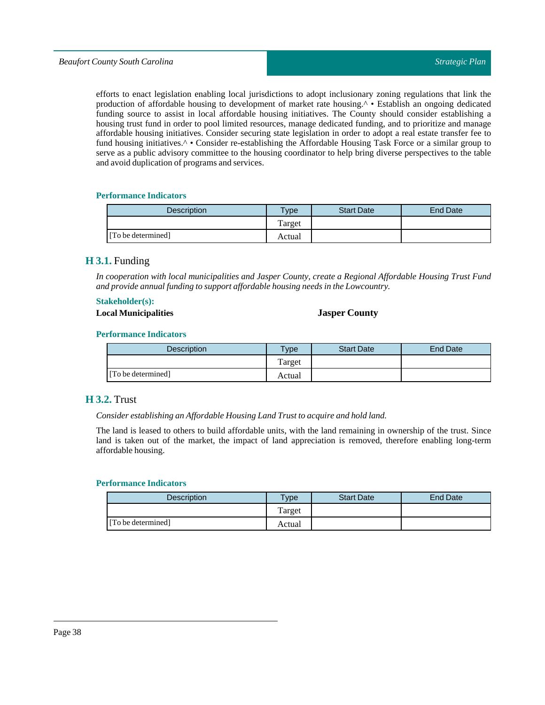efforts to enact legislation enabling local jurisdictions to adopt inclusionary zoning regulations that link the production of affordable housing to development of market rate housing.^ • Establish an ongoing dedicated funding source to assist in local affordable housing initiatives. The County should consider establishing a housing trust fund in order to pool limited resources, manage dedicated funding, and to prioritize and manage affordable housing initiatives. Consider securing state legislation in order to adopt a real estate transfer fee to fund housing initiatives.<sup>^</sup> • Consider re-establishing the Affordable Housing Task Force or a similar group to serve as a public advisory committee to the housing coordinator to help bring diverse perspectives to the table and avoid duplication of programs and services.

#### **Performance Indicators**

| <b>Description</b> | Type   | <b>Start Date</b> | End Date |
|--------------------|--------|-------------------|----------|
|                    | Target |                   |          |
| [To be determined] | Actual |                   |          |

## <span id="page-37-0"></span>**H 3.1.** Funding

*In cooperation with local municipalities and Jasper County, create a Regional Affordable Housing Trust Fund and provide annualfunding to support affordable housing needs in theLowcountry.*

#### **Stakeholder(s):**

## **Local Municipalities Jasper County**

#### **Performance Indicators**

| <b>Description</b> | Type   | <b>Start Date</b> | End Date |
|--------------------|--------|-------------------|----------|
|                    | Target |                   |          |
| [To be determined] | Actual |                   |          |

## <span id="page-37-1"></span>**H 3.2.** Trust

*Consider establishing an Affordable HousingLandTrustto acquire and hold land.*

The land is leased to others to build affordable units, with the land remaining in ownership of the trust. Since land is taken out of the market, the impact of land appreciation is removed, therefore enabling long-term affordable housing.

| <b>Description</b> | $T$ vpe | <b>Start Date</b> | End Date |
|--------------------|---------|-------------------|----------|
|                    | Target  |                   |          |
| [To be determined] | Actual  |                   |          |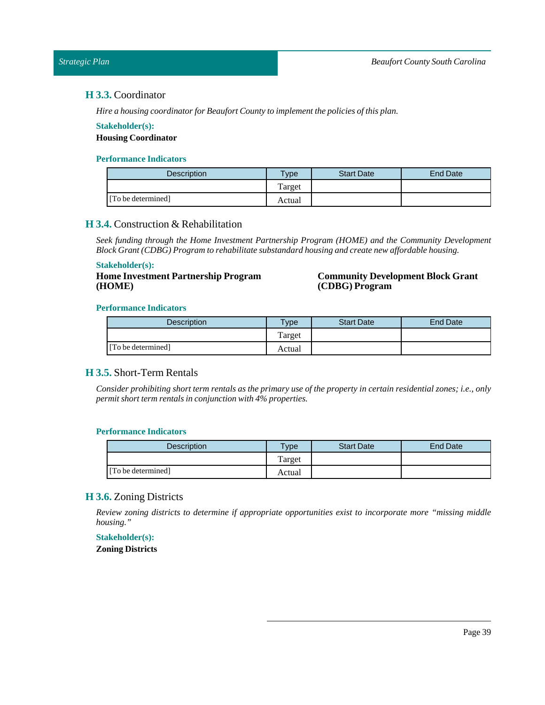## <span id="page-38-0"></span>**H 3.3.** Coordinator

*Hire a housing coordinator for Beaufort County to implementthe policies ofthis plan.*

#### **Stakeholder(s):**

**Housing Coordinator**

#### **Performance Indicators**

| <b>Description</b> | Type   | <b>Start Date</b> | End Date |
|--------------------|--------|-------------------|----------|
|                    | Target |                   |          |
| [To be determined] | Actual |                   |          |

## <span id="page-38-1"></span>**H 3.4.** Construction & Rehabilitation

*Seek funding through the Home Investment Partnership Program (HOME) and the Community Development Block Grant (CDBG) Program to rehabilitate substandard housing and create new affordable housing.*

#### **Stakeholder(s):**

**Home Investment Partnership Program (HOME)**

#### **Community Development Block Grant (CDBG) Program**

#### **Performance Indicators**

| <b>Description</b> | $T$ <sub>V</sub> pe | <b>Start Date</b> | End Date |
|--------------------|---------------------|-------------------|----------|
|                    | Target              |                   |          |
| [To be determined] | Actual              |                   |          |

## <span id="page-38-2"></span>**H 3.5.** Short-Term Rentals

Consider prohibiting short term rentals as the primary use of the property in certain residential zones; i.e., only *permit short term rentals in conjunction with*  $4\%$  *properties.* 

#### **Performance Indicators**

| Description        | $T$ <sub>V</sub> $pe$ | <b>Start Date</b> | End Date |
|--------------------|-----------------------|-------------------|----------|
|                    | Target                |                   |          |
| [To be determined] | Actual                |                   |          |

## <span id="page-38-3"></span>**H 3.6.** Zoning Districts

*Review zoning districts to determine if appropriate opportunities exist to incorporate more "missing middle housing."*

#### **Stakeholder(s):**

**Zoning Districts**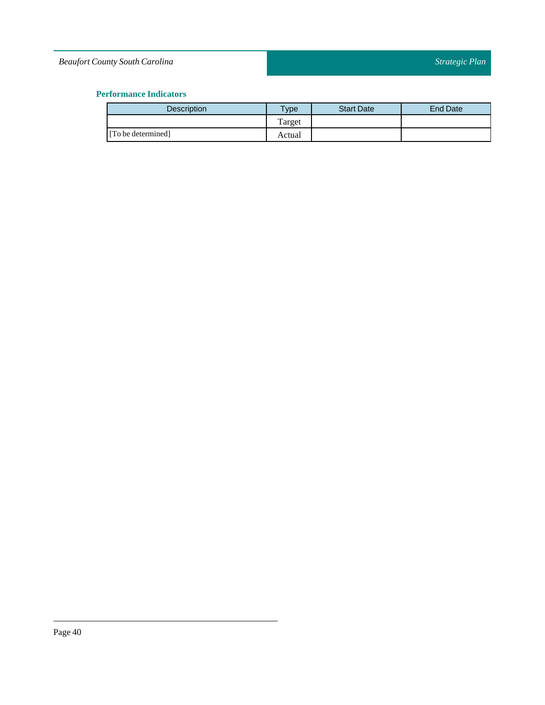## *Beaufort County South Carolina*

| <b>Description</b> | Type   | <b>Start Date</b> | <b>End Date</b> |
|--------------------|--------|-------------------|-----------------|
|                    | Target |                   |                 |
| [To be determined] | Actual |                   |                 |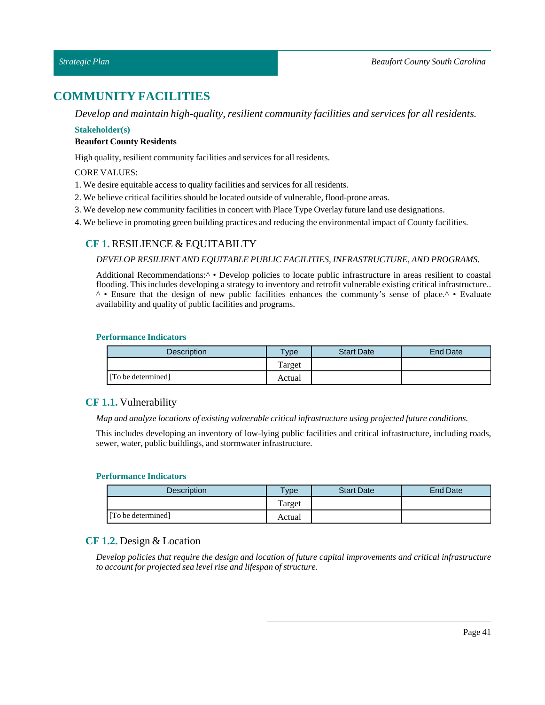# <span id="page-40-0"></span>**COMMUNITY FACILITIES**

*Develop and maintain high-quality, resilient community facilities and services for all residents.*

## **Stakeholder(s)**

## **Beaufort County Residents**

High quality, resilient community facilities and services for all residents.

## CORE VALUES:

- 1. We desire equitable access to quality facilities and services for all residents.
- 2. We believe critical facilities should be located outside of vulnerable, flood-prone areas.
- 3. We develop new community facilities in concert with Place Type Overlay future land use designations.
- <span id="page-40-1"></span>4. We believe in promoting green building practices and reducing the environmentalimpact of County facilities.

## **CF 1.** RESILIENCE & EQUITABILTY

## *DEVELOP RESILIENT AND EQUITABLE PUBLIC FACILITIES, INFRASTRUCTURE, AND PROGRAMS.*

Additional Recommendations:<sup>^</sup> • Develop policies to locate public infrastructure in areas resilient to coastal flooding. This includes developing a strategy to inventory and retrofit vulnerable existing critical infrastructure.. ^ • Ensure that the design of new public facilities enhances the communty's sense of place.^ • Evaluate availability and quality of public facilities and programs.

#### **Performance Indicators**

| <b>Description</b> | $T$ <sub>V</sub> $pe$ | <b>Start Date</b> | End Date |
|--------------------|-----------------------|-------------------|----------|
|                    | Target                |                   |          |
| [To be determined] | Actual                |                   |          |

## <span id="page-40-2"></span>**CF 1.1.** Vulnerability

*Map and analyze locations of existing vulnerable criticalinfrastructure using projected future conditions.*

This includes developing an inventory of low-lying public facilities and critical infrastructure, including roads, sewer, water, public buildings, and stormwater infrastructure.

#### **Performance Indicators**

| <b>Description</b> | Type   | <b>Start Date</b> | <b>End Date</b> |
|--------------------|--------|-------------------|-----------------|
|                    | Target |                   |                 |
| [To be determined] | Actual |                   |                 |

## <span id="page-40-3"></span>**CF 1.2.** Design & Location

*Develop policies that require the design and location of future capital improvements and critical infrastructure to accountfor projected sea level rise and lifespan of structure.*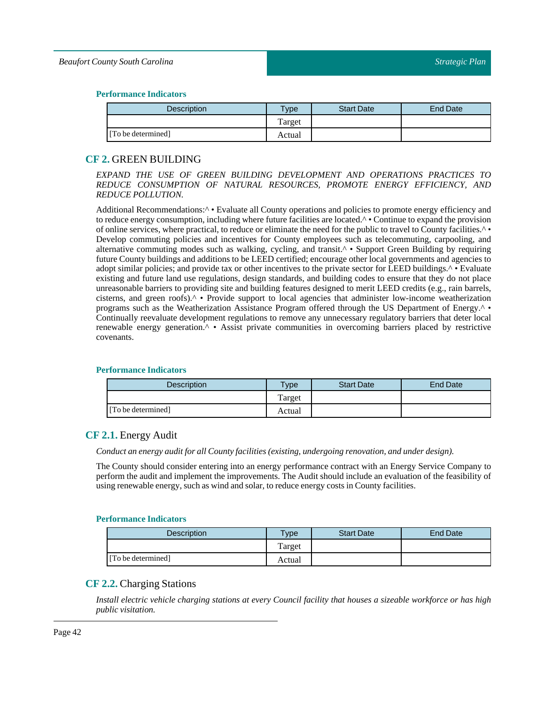#### *Beaufort County South Carolina*

#### **Performance Indicators**

| <b>Description</b> | $T$ ype | <b>Start Date</b> | End Date |
|--------------------|---------|-------------------|----------|
|                    | Target  |                   |          |
| [To be determined] | Actual  |                   |          |

## <span id="page-41-0"></span>**CF 2.** GREEN BUILDING

*EXPAND THE USE OF GREEN BUILDING DEVELOPMENT AND OPERATIONS PRACTICES TO REDUCE CONSUMPTION OF NATURAL RESOURCES, PROMOTE ENERGY EFFICIENCY, AND REDUCE POLLUTION.*

Additional Recommendations: $\wedge \cdot$  Evaluate all County operations and policies to promote energy efficiency and to reduce energy consumption, including where future facilities are located.^ • Continue to expand the provision of online services, where practical, to reduce or eliminate the need for the public to travel to County facilities.^ • Develop commuting policies and incentives for County employees such as telecommuting, carpooling, and alternative commuting modes such as walking, cycling, and transit.<sup>^</sup> • Support Green Building by requiring future County buildings and additions to be LEED certified; encourage other local governments and agencies to adopt similar policies; and provide tax or other incentives to the private sector for LEED buildings.^ • Evaluate existing and future land use regulations, design standards, and building codes to ensure that they do not place unreasonable barriers to providing site and building features designed to merit LEED credits (e.g., rain barrels, cisterns, and green roofs).^ • Provide support to local agencies that administer low-income weatherization programs such as the Weatherization Assistance Program offered through the US Department of Energy.^ • Continually reevaluate development regulations to remove any unnecessary regulatory barriers that deter local renewable energy generation.<sup>^</sup> • Assist private communities in overcoming barriers placed by restrictive covenants.

#### **Performance Indicators**

| <b>Description</b> | $T$ ype | <b>Start Date</b> | End Date |
|--------------------|---------|-------------------|----------|
|                    | Target  |                   |          |
| [To be determined] | Actual  |                   |          |

## <span id="page-41-1"></span>**CF 2.1.** Energy Audit

*Conduct an energy auditfor all County facilities (existing, undergoing renovation, and under design).*

The County should consider entering into an energy performance contract with an Energy Service Company to perform the audit and implement the improvements. The Audit should include an evaluation of the feasibility of using renewable energy, such as wind and solar, to reduce energy costs in County facilities.

#### **Performance Indicators**

| <b>Description</b> | <b>Vpe</b> | <b>Start Date</b> | End Date |
|--------------------|------------|-------------------|----------|
|                    | Target     |                   |          |
| [To be determined] | Actual     |                   |          |

## <span id="page-41-2"></span>**CF 2.2.** Charging Stations

Install electric vehicle charging stations at every Council facility that houses a sizeable workforce or has high *public visitation.*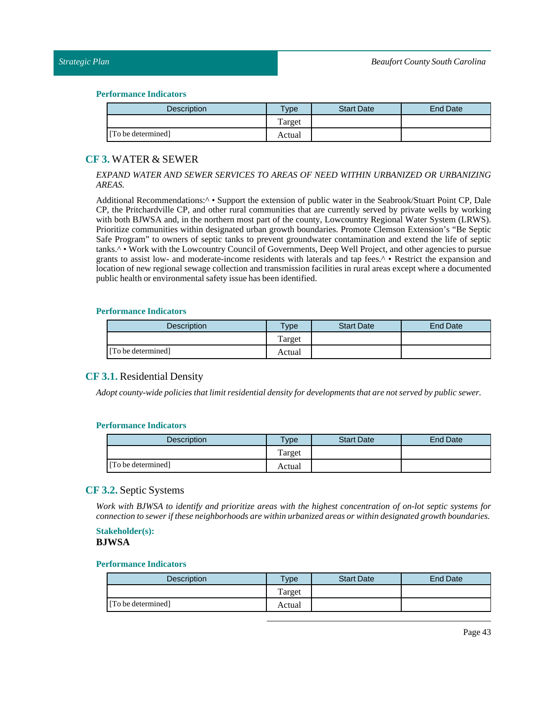#### **Performance Indicators**

| <b>Description</b> | <b>Vpe</b> | <b>Start Date</b> | <b>End Date</b> |
|--------------------|------------|-------------------|-----------------|
|                    | Target     |                   |                 |
| [To be determined] | Actual     |                   |                 |

## <span id="page-42-0"></span>**CF 3.** WATER & SEWER

#### *EXPAND WATER AND SEWER SERVICES TO AREAS OF NEED WITHIN URBANIZED OR URBANIZING AREAS.*

Additional Recommendations:<sup>^</sup> • Support the extension of public water in the Seabrook/Stuart Point CP, Dale CP, the Pritchardville CP, and other rural communities that are currently served by private wells by working with both BJWSA and, in the northern most part of the county, Lowcountry Regional Water System (LRWS). Prioritize communities within designated urban growth boundaries. Promote Clemson Extension's "Be Septic Safe Program" to owners of septic tanks to prevent groundwater contamination and extend the life of septic tanks.^ • Work with the Lowcountry Council of Governments, Deep Well Project, and other agencies to pursue grants to assist low- and moderate-income residents with laterals and tap fees.^ • Restrict the expansion and location of new regional sewage collection and transmission facilities in rural areas except where a documented public health or environmental safety issue has been identified.

#### **Performance Indicators**

| Description        | $T$ <sub>V</sub> $pe$ | <b>Start Date</b> | End Date |
|--------------------|-----------------------|-------------------|----------|
|                    | Target                |                   |          |
| [To be determined] | Actual                |                   |          |

## <span id="page-42-1"></span>**CF 3.1.** Residential Density

*Adopt county-wide policies thatlimit residential density for developments that are not served by public sewer.*

#### **Performance Indicators**

| <b>Description</b> | $T$ <sub>V</sub> pe | <b>Start Date</b> | <b>End Date</b> |
|--------------------|---------------------|-------------------|-----------------|
|                    | Target              |                   |                 |
| [To be determined] | Actual              |                   |                 |

## <span id="page-42-2"></span>**CF 3.2.** Septic Systems

Work with BJWSA to identify and prioritize areas with the highest concentration of on-lot septic systems for *connection to sewer ifthese neighborhoods are within urbanized areas or within designated growth boundaries.*

#### **Stakeholder(s): BJWSA**

| <b>Description</b> | Type   | <b>Start Date</b> | <b>End Date</b> |
|--------------------|--------|-------------------|-----------------|
|                    | Target |                   |                 |
| [To be determined] | Actual |                   |                 |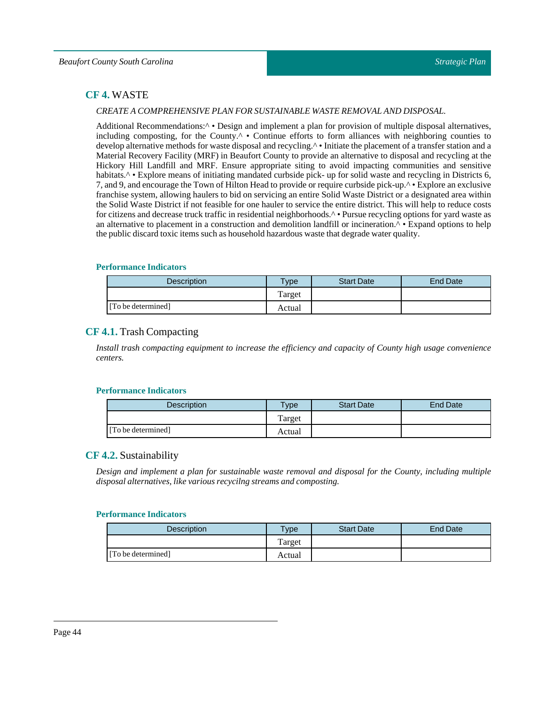## <span id="page-43-0"></span>**CF 4.** WASTE

#### *CREATE A COMPREHENSIVE PLAN FOR SUSTAINABLE WASTE REMOVAL AND DISPOSAL.*

Additional Recommendations:<sup>^</sup> • Design and implement a plan for provision of multiple disposal alternatives, including composting, for the County.<sup>^</sup> • Continue efforts to form alliances with neighboring counties to develop alternative methods for waste disposal and recycling.<sup>^</sup> • Initiate the placement of a transfer station and a Material Recovery Facility (MRF) in Beaufort County to provide an alternative to disposal and recycling at the Hickory Hill Landfill and MRF. Ensure appropriate siting to avoid impacting communities and sensitive habitats.<sup>^</sup> • Explore means of initiating mandated curbside pick- up for solid waste and recycling in Districts 6, 7, and 9, and encourage the Town of Hilton Head to provide or require curbside pick-up.^ • Explore an exclusive franchise system, allowing haulers to bid on servicing an entire Solid Waste District or a designated area within the Solid Waste District if not feasible for one hauler to service the entire district. This will help to reduce costs for citizens and decrease truck traffic in residential neighborhoods.^ • Pursue recycling options for yard waste as an alternative to placement in a construction and demolition landfill or incineration.^ • Expand options to help the public discard toxic items such as household hazardous waste that degrade water quality.

#### **Performance Indicators**

| <b>Description</b> | Type   | <b>Start Date</b> | End Date |
|--------------------|--------|-------------------|----------|
|                    | Target |                   |          |
| [To be determined] | Actual |                   |          |

## <span id="page-43-1"></span>**CF 4.1.** Trash Compacting

*Install trash compacting equipment to increase the efficiency and capacity of County high usage convenience centers.*

#### **Performance Indicators**

| <b>Description</b> | $T$ <sub>V</sub> $pe$ | <b>Start Date</b> | End Date |
|--------------------|-----------------------|-------------------|----------|
|                    | Target                |                   |          |
| [To be determined] | Actual                |                   |          |

## <span id="page-43-2"></span>**CF 4.2.** Sustainability

*Design and implement a plan for sustainable waste removal and disposal for the County, including multiple disposal alternatives, like various recycilng streams and composting.* 

| <b>Description</b> | Type   | <b>Start Date</b> | End Date |
|--------------------|--------|-------------------|----------|
|                    | Target |                   |          |
| [To be determined] | Actual |                   |          |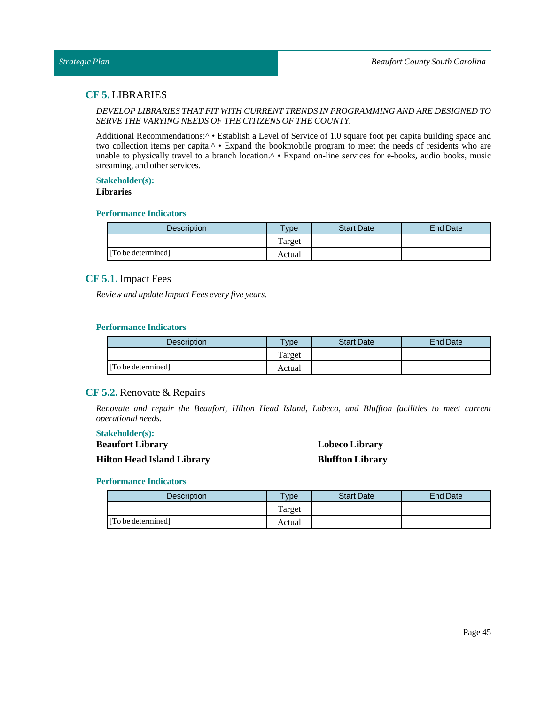## <span id="page-44-0"></span>**CF 5.** LIBRARIES

## *DEVELOP LIBRARIESTHAT FIT WITH CURRENTTRENDS IN PROGRAMMING AND ARE DESIGNED TO SERVE THE VARYING NEEDS OF THE CITIZENS OF THE COUNTY.*

Additional Recommendations:<sup> $\wedge \bullet$ </sup> Establish a Level of Service of 1.0 square foot per capita building space and two collection items per capita.^ • Expand the bookmobile program to meet the needs of residents who are unable to physically travel to a branch location.<sup>^</sup> • Expand on-line services for e-books, audio books, music streaming, and other services.

#### **Stakeholder(s):**

#### **Libraries**

#### **Performance Indicators**

| Description        | vpe    | <b>Start Date</b> | <b>End Date</b> |
|--------------------|--------|-------------------|-----------------|
|                    | Target |                   |                 |
| [To be determined] | Actual |                   |                 |

## <span id="page-44-1"></span>**CF 5.1.** Impact Fees

*Review and update Impact Fees every five years.*

#### **Performance Indicators**

| Description        | <b>Vpe</b> | <b>Start Date</b> | End Date |
|--------------------|------------|-------------------|----------|
|                    | Target     |                   |          |
| [To be determined] | Actual     |                   |          |

## <span id="page-44-2"></span>**CF 5.2.** Renovate & Repairs

*Renovate and repair the Beaufort, Hilton Head Island, Lobeco, and Bluffton facilities to meet current operational needs.*

#### **Stakeholder(s):**

## **Beaufort Library Hilton Head Island Library**

## **Lobeco Library Bluffton Library**

| <b>Description</b> | $v$ pe | <b>Start Date</b> | End Date |
|--------------------|--------|-------------------|----------|
|                    | Target |                   |          |
| [To be determined] | Actual |                   |          |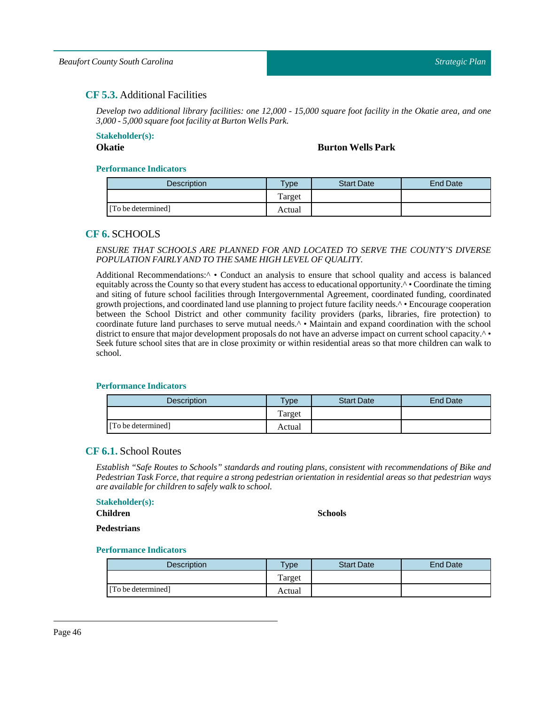## <span id="page-45-0"></span>**CF 5.3.** Additional Facilities

Develop two additional library facilities: one 12,000 - 15,000 square foot facility in the Okatie area, and one *3,000 - 5,000 square footfacility at Burton Wells Park.*

# **Stakeholder(s):**

## **Okatie Burton Wells Park**

#### **Performance Indicators**

| <b>Description</b> | vpe    | <b>Start Date</b> | End Date |
|--------------------|--------|-------------------|----------|
|                    | Target |                   |          |
| [To be determined] | Actual |                   |          |

## <span id="page-45-1"></span>**CF 6.** SCHOOLS

#### *ENSURE THAT SCHOOLS ARE PLANNED FOR AND LOCATED TO SERVE THE COUNTY'S DIVERSE POPULATION FAIRLY AND TO THE SAME HIGH LEVEL OF QUALITY.*

Additional Recommendations:^ • Conduct an analysis to ensure that school quality and access is balanced equitably across the County so that every student has access to educational opportunity.<sup> $\wedge \bullet$ </sup> Coordinate the timing and siting of future school facilities through Intergovernmental Agreement, coordinated funding, coordinated growth projections, and coordinated land use planning to project future facility needs.^ • Encourage cooperation between the School District and other community facility providers (parks, libraries, fire protection) to coordinate future land purchases to serve mutual needs.<sup>^</sup> • Maintain and expand coordination with the school district to ensure that major development proposals do not have an adverse impact on current school capacity.^ • Seek future school sites that are in close proximity or within residential areas so that more children can walk to school.

#### **Performance Indicators**

| Description        | $T$ <sub>V</sub> $pe$ | <b>Start Date</b> | End Date |
|--------------------|-----------------------|-------------------|----------|
|                    | Target                |                   |          |
| [To be determined] | Actual                |                   |          |

## <span id="page-45-2"></span>**CF 6.1.** School Routes

*Establish "Safe Routes to Schools" standards and routing plans, consistent with recommendations of Bike and Pedestrian Task Force, that require a strong pedestrian orientation in residential areas so that pedestrian ways are available for children to safely walk to school.*

#### **Stakeholder(s):**

## **Children**

**Schools**

#### **Pedestrians**

| <b>Description</b> | <b>Type</b> | <b>Start Date</b> | End Date |
|--------------------|-------------|-------------------|----------|
|                    | Target      |                   |          |
| [To be determined] | Actual      |                   |          |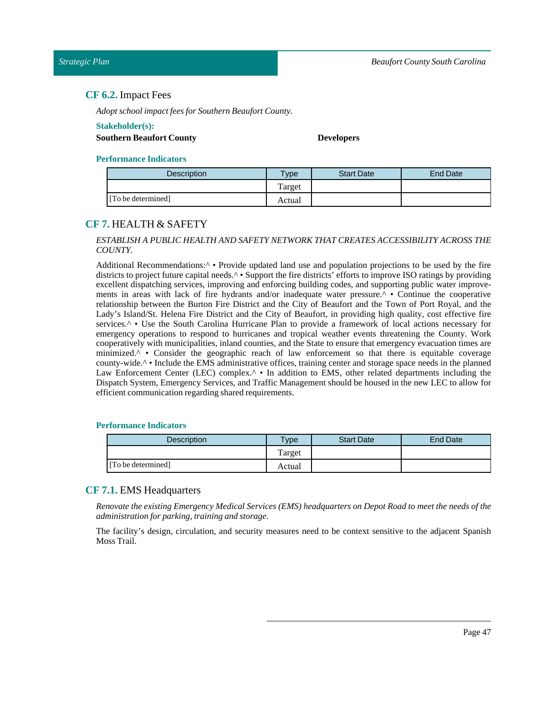## <span id="page-46-0"></span>**CF 6.2.** Impact Fees

*Adopt schoolimpactfees for Southern Beaufort County.*

#### **Stakeholder(s):**

### **Southern Beaufort County Developers**

#### **Performance Indicators**

| <b>Description</b> | <b>Type</b> | <b>Start Date</b> | End Date |
|--------------------|-------------|-------------------|----------|
|                    | l'arget     |                   |          |
| [To be determined] | Actual      |                   |          |

## <span id="page-46-1"></span>**CF 7.** HEALTH & SAFETY

### *ESTABLISH A PUBLIC HEALTH AND SAFETY NETWORK THAT CREATES ACCESSIBILITY ACROSS THE COUNTY.*

Additional Recommendations:<sup>^</sup> • Provide updated land use and population projections to be used by the fire districts to project future capital needs.^ • Support the fire districts' efforts to improve ISO ratings by providing excellent dispatching services, improving and enforcing building codes, and supporting public water improvements in areas with lack of fire hydrants and/or inadequate water pressure.^ • Continue the cooperative relationship between the Burton Fire District and the City of Beaufort and the Town of Port Royal, and the Lady's Island/St. Helena Fire District and the City of Beaufort, in providing high quality, cost effective fire services.<sup>^</sup> • Use the South Carolina Hurricane Plan to provide a framework of local actions necessary for emergency operations to respond to hurricanes and tropical weather events threatening the County. Work cooperatively with municipalities, inland counties, and the State to ensure that emergency evacuation times are minimized.^ • Consider the geographic reach of law enforcement so that there is equitable coverage county-wide.^ • Include the EMS administrative offices, training center and storage space needs in the planned Law Enforcement Center (LEC) complex.<sup>^</sup> • In addition to EMS, other related departments including the Dispatch System, Emergency Services, and Traffic Management should be housed in the new LEC to allow for efficient communication regarding shared requirements.

#### **Performance Indicators**

| Description        | $T$ <sub>V</sub> $pe$ | <b>Start Date</b> | End Date |
|--------------------|-----------------------|-------------------|----------|
|                    | Target                |                   |          |
| [To be determined] | Actual                |                   |          |

## <span id="page-46-2"></span>**CF 7.1.** EMS Headquarters

Renovate the existing Emergency Medical Services (EMS) headquarters on Depot Road to meet the needs of the  $administration for parking, training and storage.$ 

The facility's design, circulation, and security measures need to be context sensitive to the adjacent Spanish Moss Trail.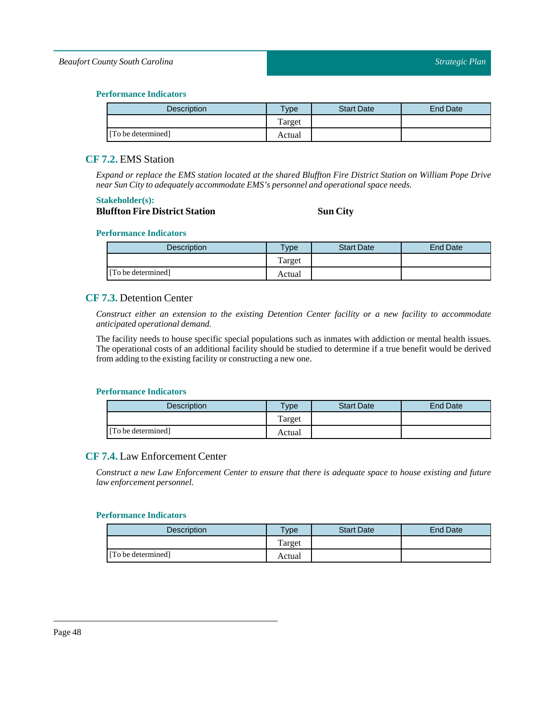## *Beaufort County South Carolina*

## **Performance Indicators**

| Description        | <b>Type</b> | <b>Start Date</b> | <b>End Date</b> |
|--------------------|-------------|-------------------|-----------------|
|                    | Target      |                   |                 |
| [To be determined] | Actual      |                   |                 |

## <span id="page-47-0"></span>**CF 7.2.** EMS Station

Expand or replace the EMS station located at the shared Bluffton Fire District Station on William Pope Drive *near Sun City to adequately accommodate EMS's personnel and operational space needs.*

#### **Stakeholder(s):**

## **Bluffton Fire District Station Sun City**

#### **Performance Indicators**

| Description        | $T$ ype | <b>Start Date</b> | End Date |
|--------------------|---------|-------------------|----------|
|                    | Target  |                   |          |
| [To be determined] | Actual  |                   |          |

## <span id="page-47-1"></span>**CF 7.3.** Detention Center

*Construct either an extension to the existing Detention Center facility or a new facility to accommodate anticipated operational demand.*

The facility needs to house specific special populations such as inmates with addiction or mental health issues. The operational costs of an additional facility should be studied to determine if a true benefit would be derived from adding to the existing facility or constructing a new one.

#### **Performance Indicators**

| <b>Description</b> | <b>Type</b> | <b>Start Date</b> | End Date |
|--------------------|-------------|-------------------|----------|
|                    | Target      |                   |          |
| [To be determined] | Actual      |                   |          |

## <span id="page-47-2"></span>**CF 7.4.** Law Enforcement Center

Construct a new Law Enforcement Center to ensure that there is adequate space to house existing and future *law enforcement personnel.*

| Description        | $T$ vpe | <b>Start Date</b> | End Date |
|--------------------|---------|-------------------|----------|
|                    | Target  |                   |          |
| [To be determined] | Actual  |                   |          |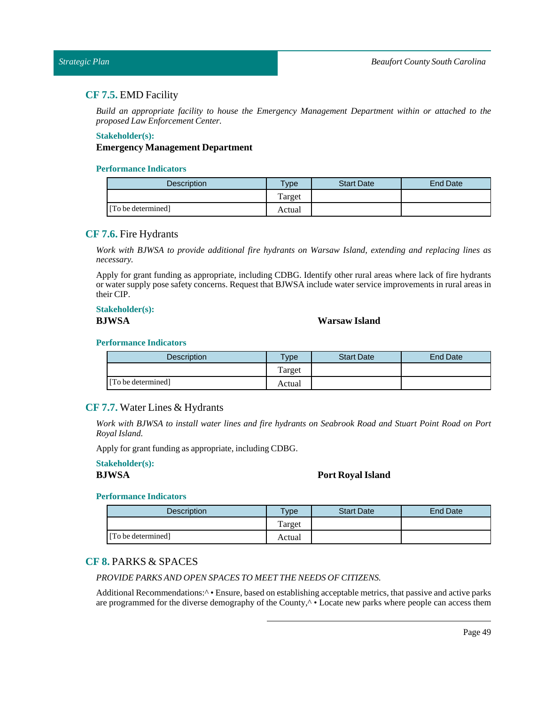#### <span id="page-48-0"></span>*Strategic Plan*

## **CF 7.5.** EMD Facility

*Build an appropriate facility to house the Emergency Management Department within or attached to the proposedLaw Enforcement Center.*

#### **Stakeholder(s):**

## **Emergency Management Department**

#### **Performance Indicators**

| <b>Description</b> | $T$ <sub>V</sub> pe | <b>Start Date</b> | End Date |
|--------------------|---------------------|-------------------|----------|
|                    | Target              |                   |          |
| [To be determined] | Actual              |                   |          |

## <span id="page-48-1"></span>**CF 7.6.** Fire Hydrants

*Work with BJWSA to provide additional fire hydrants on Warsaw Island, extending and replacing lines as necessary.*

Apply for grant funding as appropriate, including CDBG. Identify other rural areas where lack of fire hydrants or water supply pose safety concerns. Request that BJWSA include water service improvements in rural areas in their CIP.

#### **Stakeholder(s): BJWSA Warsaw Island**

## **Performance Indicators**

| <b>Description</b> | $T$ <sub>V</sub> pe | <b>Start Date</b> | End Date |
|--------------------|---------------------|-------------------|----------|
|                    | Target              |                   |          |
| [To be determined] | Actual              |                   |          |

## <span id="page-48-2"></span>**CF 7.7.** Water Lines & Hydrants

Work with BJWSA to install water lines and fire hydrants on Seabrook Road and Stuart Point Road on Port *Royal Island.*

Apply for grant funding as appropriate, including CDBG.

#### **Stakeholder(s):**

## **BJWSA Port Royal Island**

## **Performance Indicators**

| <b>Description</b> | $v_{\rm p}$ | <b>Start Date</b> | End Date |
|--------------------|-------------|-------------------|----------|
|                    | Target      |                   |          |
| [To be determined] | Actual      |                   |          |

## <span id="page-48-3"></span>**CF 8.** PARKS & SPACES

## *PROVIDE PARKS AND OPEN SPACESTO MEETTHE NEEDS OF CITIZENS.*

Additional Recommendations:^ • Ensure, based on establishing acceptable metrics, that passive and active parks are programmed for the diverse demography of the County,<sup> $\wedge \bullet$ </sup> Locate new parks where people can access them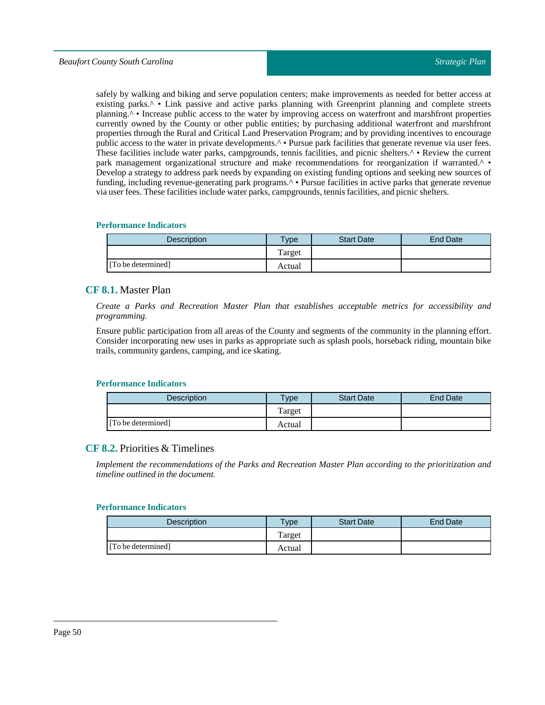safely by walking and biking and serve population centers; make improvements as needed for better access at existing parks.<sup>^</sup> • Link passive and active parks planning with Greenprint planning and complete streets planning.^ • Increase public access to the water by improving access on waterfront and marshfront properties currently owned by the County or other public entities; by purchasing additional waterfront and marshfront properties through the Rural and Critical Land Preservation Program; and by providing incentives to encourage public access to the water in private developments.^ • Pursue park facilities that generate revenue via user fees. These facilities include water parks, campgrounds, tennis facilities, and picnic shelters.<sup>^</sup> • Review the current park management organizational structure and make recommendations for reorganization if warranted.^ • Develop a strategy to address park needs by expanding on existing funding options and seeking new sources of funding, including revenue-generating park programs.<sup>^</sup> • Pursue facilities in active parks that generate revenue via user fees. These facilities include water parks, campgrounds,tennis facilities, and picnic shelters.

#### **Performance Indicators**

| Description        | $T$ <sub>V</sub> pe | <b>Start Date</b> | <b>End Date</b> |
|--------------------|---------------------|-------------------|-----------------|
|                    | Target              |                   |                 |
| [To be determined] | Actual              |                   |                 |

## <span id="page-49-0"></span>**CF 8.1.** Master Plan

*Create a Parks and Recreation Master Plan that establishes acceptable metrics for accessibility and programming.*

Ensure public participation from all areas of the County and segments of the community in the planning effort. Consider incorporating new uses in parks as appropriate such as splash pools, horseback riding, mountain bike trails, community gardens, camping, and ice skating.

#### **Performance Indicators**

| <b>Description</b> | $T$ ype | <b>Start Date</b> | <b>End Date</b> |
|--------------------|---------|-------------------|-----------------|
|                    | Target  |                   |                 |
| [To be determined] | Actual  |                   |                 |

## <span id="page-49-1"></span>**CF 8.2.** Priorities & Timelines

*Implement the recommendations of the Parks and Recreation Master Plan according to the prioritization and timeline outlined in the document.*

| <b>Description</b> | <b>Type</b> | <b>Start Date</b> | End Date |
|--------------------|-------------|-------------------|----------|
|                    | Target      |                   |          |
| [To be determined] | Actual      |                   |          |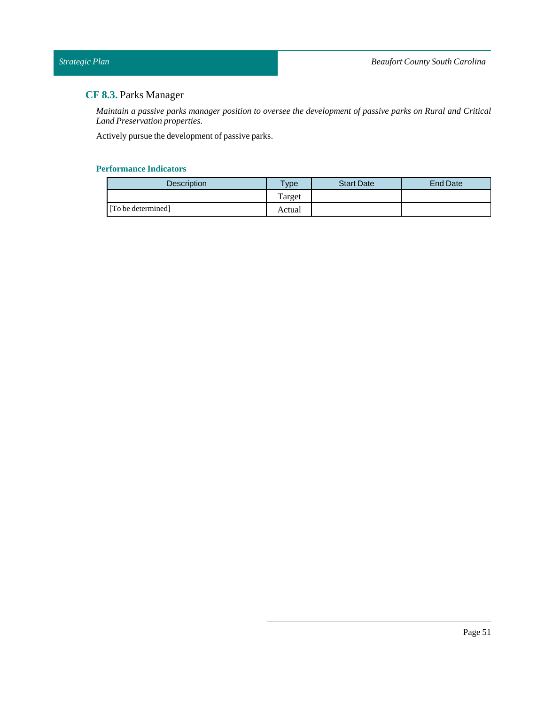# <span id="page-50-0"></span>**CF 8.3.** Parks Manager

Maintain a passive parks manager position to oversee the development of passive parks on Rural and Critical *Land Preservation properties.*

Actively pursue the development of passive parks.

| Description        | $T$ ype | <b>Start Date</b> | <b>End Date</b> |
|--------------------|---------|-------------------|-----------------|
|                    | Target  |                   |                 |
| [To be determined] | Actual  |                   |                 |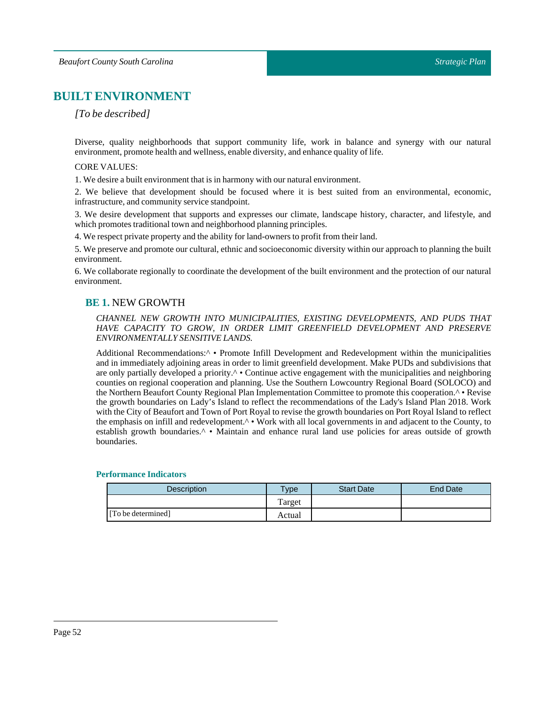# <span id="page-51-0"></span>**BUILT ENVIRONMENT**

## *[To be described]*

Diverse, quality neighborhoods that support community life, work in balance and synergy with our natural environment, promote health and wellness, enable diversity, and enhance quality of life.

#### CORE VALUES:

1. We desire a built environment that is in harmony with our natural environment.

2. We believe that development should be focused where it is best suited from an environmental, economic, infrastructure, and community service standpoint.

3. We desire development that supports and expresses our climate, landscape history, character, and lifestyle, and which promotes traditional town and neighborhood planning principles.

4. We respect private property and the ability for land-owners to profit from their land.

5. We preserve and promote our cultural, ethnic and socioeconomic diversity within our approach to planning the built environment.

<span id="page-51-1"></span>6. We collaborate regionally to coordinate the development of the built environment and the protection of our natural environment.

## **BE 1.** NEW GROWTH

### *CHANNEL NEW GROWTH INTO MUNICIPALITIES, EXISTING DEVELOPMENTS, AND PUDS THAT HAVE CAPACITY TO GROW, IN ORDER LIMIT GREENFIELD DEVELOPMENT AND PRESERVE ENVIRONMENTALLYSENSITIVE LANDS.*

Additional Recommendations:^ • Promote Infill Development and Redevelopment within the municipalities and in immediately adjoining areas in order to limit greenfield development. Make PUDs and subdivisions that are only partially developed a priority.^ • Continue active engagement with the municipalities and neighboring counties on regional cooperation and planning. Use the Southern Lowcountry Regional Board (SOLOCO) and the Northern Beaufort County Regional Plan Implementation Committee to promote this cooperation.^ • Revise the growth boundaries on Lady's Island to reflect the recommendations of the Lady's Island Plan 2018. Work with the City of Beaufort and Town of Port Royal to revise the growth boundaries on Port Royal Island to reflect the emphasis on infill and redevelopment.^ • Work with all local governments in and adjacent to the County, to establish growth boundaries.<sup>^</sup> • Maintain and enhance rural land use policies for areas outside of growth boundaries.

| Description        | $v_{\rm p}$ | <b>Start Date</b> | <b>End Date</b> |
|--------------------|-------------|-------------------|-----------------|
|                    | Target      |                   |                 |
| [To be determined] | Actual      |                   |                 |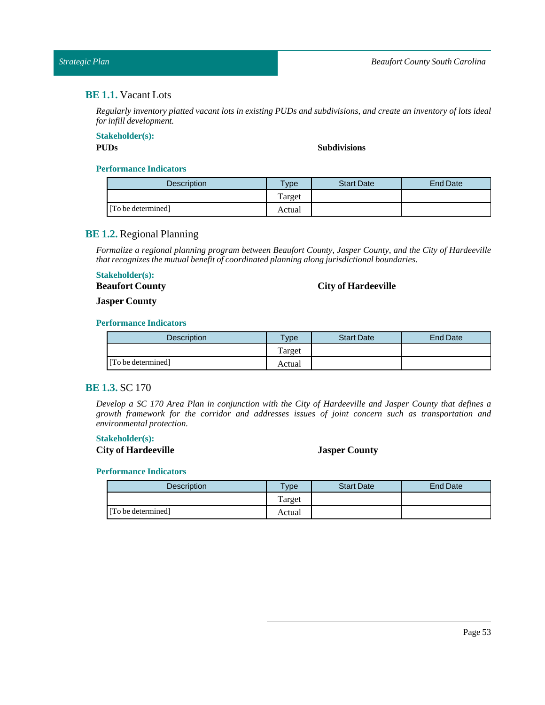## <span id="page-52-0"></span>**BE 1.1.** Vacant Lots

Regularly inventory platted vacant lots in existing PUDs and subdivisions, and create an inventory of lots ideal *for infill development.*

## **Stakeholder(s):**

### **PUDs Subdivisions**

#### **Performance Indicators**

| <b>Description</b> | $T$ <sub>V</sub> pe | <b>Start Date</b> | <b>End Date</b> |
|--------------------|---------------------|-------------------|-----------------|
|                    | Target              |                   |                 |
| [To be determined] | Actual              |                   |                 |

## <span id="page-52-1"></span>**BE 1.2.** Regional Planning

*Formalize a regional planning program between Beaufort County, Jasper County, and the City of Hardeeville that recognizes the mutual benefit of coordinated planning along jurisdictional boundaries.*

## **Stakeholder(s):**

**Beaufort County**

## **City of Hardeeville**

**Jasper County**

## **Performance Indicators**

| Description        | $T$ vpe | <b>Start Date</b> | End Date |
|--------------------|---------|-------------------|----------|
|                    | Target  |                   |          |
| [To be determined] | Actual  |                   |          |

## <span id="page-52-2"></span>**BE 1.3.** SC 170

Develop a SC 170 Area Plan in conjunction with the City of Hardeeville and Jasper County that defines a *growth framework for the corridor and addresses issues of joint concern such as transportation and environmental protection.*

## **Stakeholder(s):**

**City of Hardeeville Jasper County**

| Description        | $TV$ pe | <b>Start Date</b> | <b>End Date</b> |
|--------------------|---------|-------------------|-----------------|
|                    | Target  |                   |                 |
| [To be determined] | Actual  |                   |                 |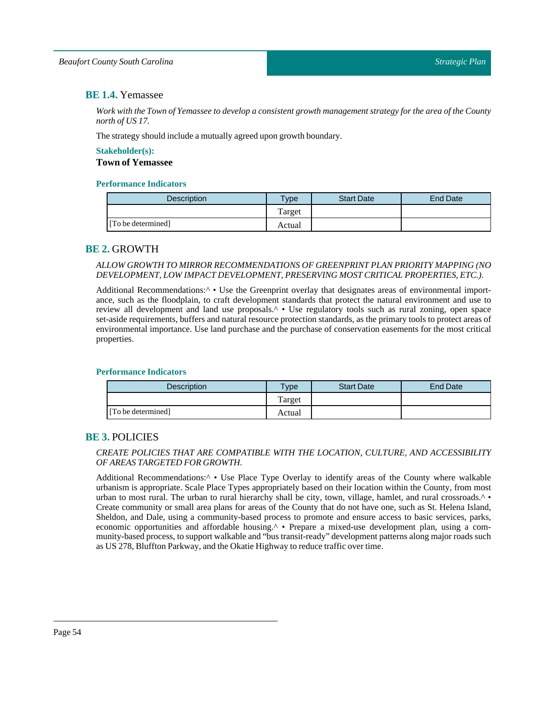## <span id="page-53-0"></span>**BE 1.4.** Yemassee

Work with the Town of Yemassee to develop a consistent growth management strategy for the area of the County *north of US 17.*

The strategy should include a mutually agreed upon growth boundary.

## **Stakeholder(s): Town of Yemassee**

## **Performance Indicators**

| Description        | Type   | <b>Start Date</b> | <b>End Date</b> |
|--------------------|--------|-------------------|-----------------|
|                    | Target |                   |                 |
| [To be determined] | Actual |                   |                 |

## <span id="page-53-1"></span>**BE 2.** GROWTH

## *ALLOW GROWTH TO MIRROR RECOMMENDATIONS OF GREENPRINT PLAN PRIORITY MAPPING (NO DEVELOPMENT,LOW IMPACT DEVELOPMENT, PRESERVING MOST CRITICAL PROPERTIES, ETC.).*

Additional Recommendations:<sup>^</sup> • Use the Greenprint overlay that designates areas of environmental importance, such as the floodplain, to craft development standards that protect the natural environment and use to review all development and land use proposals.^ • Use regulatory tools such as rural zoning, open space set-aside requirements, buffers and natural resource protection standards, as the primary tools to protect areas of environmental importance. Use land purchase and the purchase of conservation easements for the most critical properties.

## **Performance Indicators**

| <b>Description</b> | $T$ <sub>ype</sub> | <b>Start Date</b> | End Date |
|--------------------|--------------------|-------------------|----------|
|                    | Target             |                   |          |
| [To be determined] | Actual             |                   |          |

## <span id="page-53-2"></span>**BE 3.** POLICIES

## *CREATE POLICIES THAT ARE COMPATIBLE WITH THE LOCATION, CULTURE, AND ACCESSIBILITY OF AREASTARGETED FOR GROWTH.*

Additional Recommendations:<sup>^</sup> • Use Place Type Overlay to identify areas of the County where walkable urbanism is appropriate. Scale Place Types appropriately based on their location within the County, from most urban to most rural. The urban to rural hierarchy shall be city, town, village, hamlet, and rural crossroads. $\wedge \bullet$ Create community or small area plans for areas of the County that do not have one, such as St. Helena Island, Sheldon, and Dale, using a community-based process to promote and ensure access to basic services, parks, economic opportunities and affordable housing.^ • Prepare a mixed-use development plan, using a community-based process, to support walkable and "bus transit-ready" development patterns along major roads such as US 278, Bluffton Parkway, and the Okatie Highway to reduce traffic over time.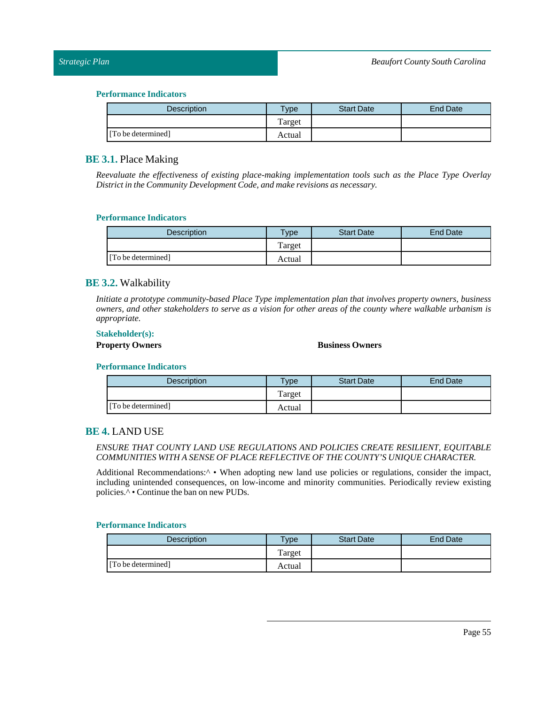#### **Performance Indicators**

| Description        | <b>Type</b> | <b>Start Date</b> | <b>End Date</b> |
|--------------------|-------------|-------------------|-----------------|
|                    | Target      |                   |                 |
| [To be determined] | Actual      |                   |                 |

## <span id="page-54-0"></span>**BE 3.1.** Place Making

*Reevaluate the effectiveness of existing place-making implementation tools such as the Place Type Overlay Districtin the Community Development Code, and make revisions as necessary.*

#### **Performance Indicators**

| <b>Description</b> | $T$ vpe | <b>Start Date</b> | <b>End Date</b> |
|--------------------|---------|-------------------|-----------------|
|                    | Target  |                   |                 |
| [To be determined] | Actual  |                   |                 |

## <span id="page-54-1"></span>**BE 3.2.** Walkability

*Initiate a prototype community-based Place Type implementation plan that involves property owners, business* owners, and other stakeholders to serve as a vision for other areas of the county where walkable urbanism is *appropriate.*

#### **Stakeholder(s):**

#### **Property Owners Business Owners**

#### **Performance Indicators**

| Description        | $v_{\rm p}$ | <b>Start Date</b> | <b>End Date</b> |
|--------------------|-------------|-------------------|-----------------|
|                    | Target      |                   |                 |
| [To be determined] | Actual      |                   |                 |

## <span id="page-54-2"></span>**BE 4.** LAND USE

#### *ENSURE THAT COUNTY LAND USE REGULATIONS AND POLICIES CREATE RESILIENT, EQUITABLE COMMUNITIES WITH A SENSE OF PLACE REFLECTIVE OF THE COUNTY'S UNIQUE CHARACTER.*

Additional Recommendations:<sup> $\wedge \bullet$ </sup> When adopting new land use policies or regulations, consider the impact, including unintended consequences, on low-income and minority communities. Periodically review existing policies.^ • Continue the ban on new PUDs.

| <b>Description</b> | <b>Vpe</b> | <b>Start Date</b> | End Date |
|--------------------|------------|-------------------|----------|
|                    | Target     |                   |          |
| [To be determined] | Actual     |                   |          |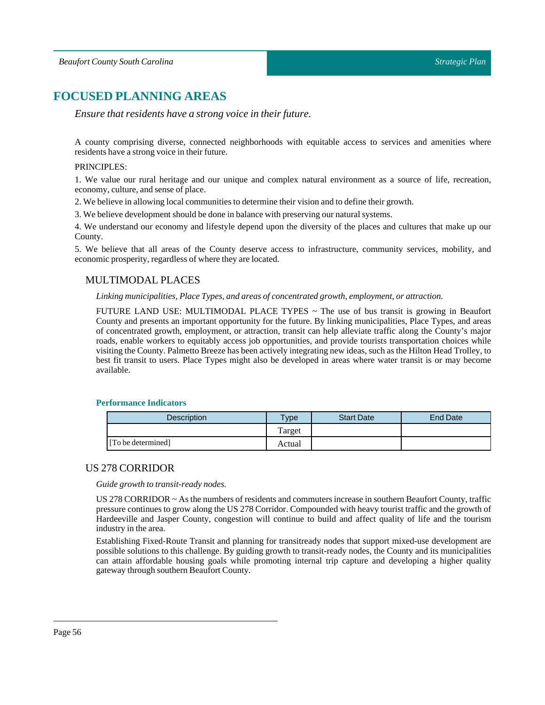# <span id="page-55-0"></span>**FOCUSED PLANNING AREAS**

*Ensure that residents have a strong voice in their future.*

A county comprising diverse, connected neighborhoods with equitable access to services and amenities where residents have a strong voice in their future.

#### PRINCIPLES:

1. We value our rural heritage and our unique and complex natural environment as a source of life, recreation, economy, culture, and sense of place.

2. We believe in allowing local communities to determine their vision and to define their growth.

3. We believe development should be done in balance with preserving our natural systems.

4. We understand our economy and lifestyle depend upon the diversity of the places and cultures that make up our County.

<span id="page-55-1"></span>5. We believe that all areas of the County deserve access to infrastructure, community services, mobility, and economic prosperity, regardless of where they are located.

## MULTIMODAL PLACES

*Linking municipalities, PlaceTypes, and areas of concentrated growth, employment, or attraction.*

FUTURE LAND USE: MULTIMODAL PLACE TYPES ~ The use of bus transit is growing in Beaufort County and presents an important opportunity for the future. By linking municipalities, Place Types, and areas of concentrated growth, employment, or attraction, transit can help alleviate traffic along the County's major roads, enable workers to equitably access job opportunities, and provide tourists transportation choices while visiting the County.Palmetto Breeze has been actively integrating new ideas, such as the Hilton Head Trolley, to best fit transit to users. Place Types might also be developed in areas where water transit is or may become available.

#### **Performance Indicators**

| <b>Description</b> | $T$ <sub>V</sub> pe | <b>Start Date</b> | End Date |
|--------------------|---------------------|-------------------|----------|
|                    | l'arget             |                   |          |
| [To be determined] | Actual              |                   |          |

## <span id="page-55-2"></span>US 278 CORRIDOR

*Guide growth to transit-ready nodes.*

US 278 CORRIDOR ~ As the numbers of residents and commuters increase in southern Beaufort County, traffic pressure continues to grow along the US 278 Corridor. Compounded with heavy tourist traffic and the growth of Hardeeville and Jasper County, congestion will continue to build and affect quality of life and the tourism industry in the area.

Establishing Fixed-Route Transit and planning for transitready nodes that support mixed-use development are possible solutions to this challenge. By guiding growth to transit-ready nodes, the County and its municipalities can attain affordable housing goals while promoting internal trip capture and developing a higher quality gateway through southern Beaufort County.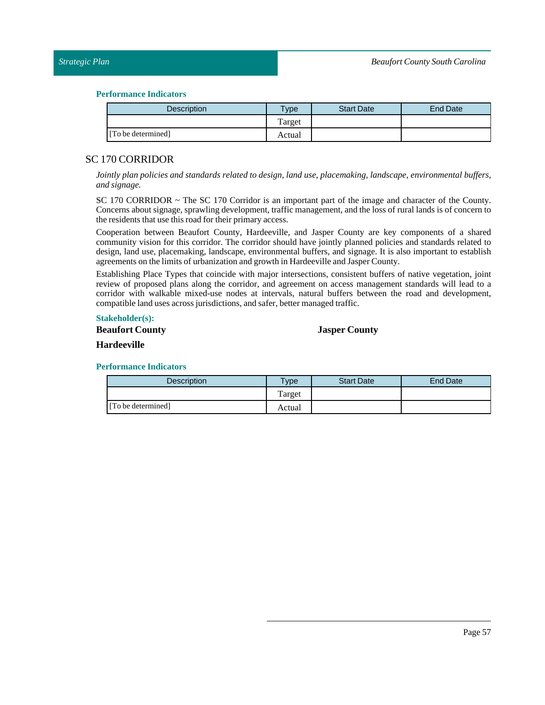#### **Performance Indicators**

| <b>Description</b> | <b>Type</b> | <b>Start Date</b> | End Date |
|--------------------|-------------|-------------------|----------|
|                    | Target      |                   |          |
| [To be determined] | Actual      |                   |          |

## <span id="page-56-0"></span>SC 170 CORRIDOR

*Jointly plan policies and standards related to design, land use, placemaking, landscape, environmental buffers, and signage.*

SC 170 CORRIDOR ~ The SC 170 Corridor is an important part of the image and character of the County. Concerns about signage, sprawling development, traffic management, and the loss of rural lands is of concern to the residents that use this road for their primary access.

Cooperation between Beaufort County, Hardeeville, and Jasper County are key components of a shared community vision for this corridor. The corridor should have jointly planned policies and standards related to design, land use, placemaking, landscape, environmental buffers, and signage. It is also important to establish agreements on the limits of urbanization and growth in Hardeeville and Jasper County.

Establishing Place Types that coincide with major intersections, consistent buffers of native vegetation, joint review of proposed plans along the corridor, and agreement on access management standards will lead to a corridor with walkable mixed-use nodes at intervals, natural buffers between the road and development, compatible land uses across jurisdictions, and safer, better managed traffic.

## **Stakeholder(s):**

## **Beaufort County**

## **Jasper County**

#### **Hardeeville**

| <b>Description</b> | $T$ vpe | <b>Start Date</b> | End Date |
|--------------------|---------|-------------------|----------|
|                    | Target  |                   |          |
| [To be determined] | Actual  |                   |          |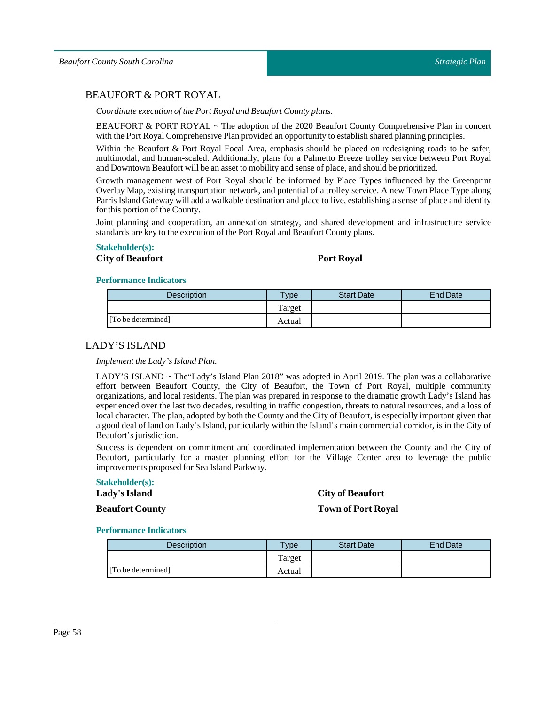## <span id="page-57-0"></span>BEAUFORT & PORT ROYAL

*Coordinate execution of the Port Royal and Beaufort County plans.* 

BEAUFORT & PORT ROYAL ~ The adoption of the 2020 Beaufort County Comprehensive Plan in concert with the Port Royal Comprehensive Plan provided an opportunity to establish shared planning principles.

Within the Beaufort & Port Royal Focal Area, emphasis should be placed on redesigning roads to be safer, multimodal, and human-scaled. Additionally, plans for a Palmetto Breeze trolley service between Port Royal and Downtown Beaufort will be an assetto mobility and sense of place, and should be prioritized.

Growth management west of Port Royal should be informed by Place Types influenced by the Greenprint Overlay Map, existing transportation network, and potential of a trolley service. A new Town Place Type along Parris Island Gateway will add a walkable destination and place to live, establishing a sense of place and identity for this portion of the County.

Joint planning and cooperation, an annexation strategy, and shared development and infrastructure service standards are key to the execution of thePort Royal and Beaufort County plans.

## **Stakeholder(s):**

## **City of Beaufort Port Royal**

#### **Performance Indicators**

| Description        | Type   | <b>Start Date</b> | End Date |
|--------------------|--------|-------------------|----------|
|                    | Target |                   |          |
| [To be determined] | Actual |                   |          |

## <span id="page-57-1"></span>LADY'S ISLAND

*Implement the Lady's Island Plan.* 

LADY'S ISLAND ~ The"Lady's Island Plan 2018" was adopted in April 2019. The plan was a collaborative effort between Beaufort County, the City of Beaufort, the Town of Port Royal, multiple community organizations, and local residents. The plan was prepared in response to the dramatic growth Lady's Island has experienced over the last two decades, resulting in traffic congestion, threats to natural resources, and a loss of local character. The plan, adopted by both the County and the City of Beaufort, is especially important given that a good deal of land on Lady's Island, particularly within the Island's main commercial corridor, is in the City of Beaufort's jurisdiction.

Success is dependent on commitment and coordinated implementation between the County and the City of Beaufort, particularly for a master planning effort for the Village Center area to leverage the public improvements proposed for Sea Island Parkway.

#### **Stakeholder(s):**

#### Lady's Island

**Beaufort County**

## **City of Beaufort**

**Town of Port Royal**

| <b>Description</b> | <b>Type</b> | <b>Start Date</b> | End Date |
|--------------------|-------------|-------------------|----------|
|                    | Target      |                   |          |
| [To be determined] | Actual      |                   |          |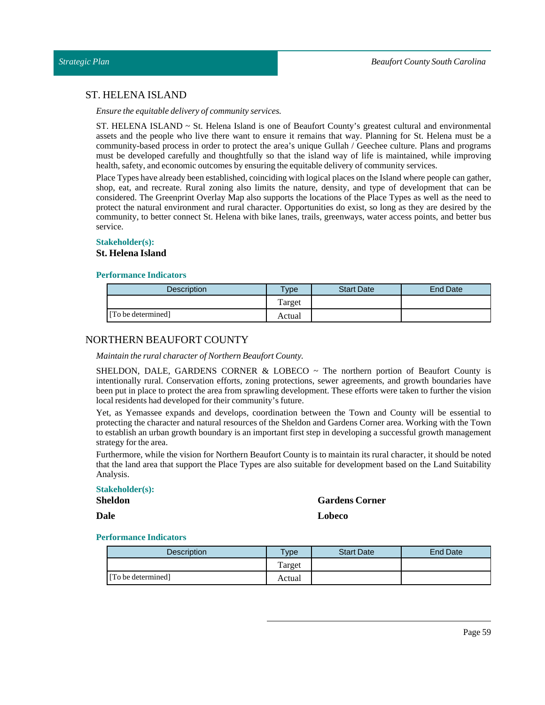## <span id="page-58-0"></span>ST. HELENA ISLAND

*Ensure the equitable delivery of community services.*

ST. HELENA ISLAND ~ St. Helena Island is one of Beaufort County's greatest cultural and environmental assets and the people who live there want to ensure it remains that way. Planning for St. Helena must be a community-based process in order to protect the area's unique Gullah / Geechee culture. Plans and programs must be developed carefully and thoughtfully so that the island way of life is maintained, while improving health, safety, and economic outcomes by ensuring the equitable delivery of community services.

Place Types have already been established, coinciding with logical places on the Island where people can gather, shop, eat, and recreate. Rural zoning also limits the nature, density, and type of development that can be considered. The Greenprint Overlay Map also supports the locations of the Place Types as well as the need to protect the natural environment and rural character. Opportunities do exist, so long as they are desired by the community, to better connect St. Helena with bike lanes, trails, greenways, water access points, and better bus service.

#### **Stakeholder(s):**

#### **St. Helena Island**

#### **Performance Indicators**

| Description        | Type   | <b>Start Date</b> | End Date |
|--------------------|--------|-------------------|----------|
|                    | Target |                   |          |
| [To be determined] | Actual |                   |          |

## <span id="page-58-1"></span>NORTHERN BEAUFORT COUNTY

*Maintain the rural character of Northern Beaufort County.*

SHELDON, DALE, GARDENS CORNER & LOBECO  $\sim$  The northern portion of Beaufort County is intentionally rural. Conservation efforts, zoning protections, sewer agreements, and growth boundaries have been put in place to protect the area from sprawling development. These efforts were taken to further the vision local residents had developed for their community's future.

Yet, as Yemassee expands and develops, coordination between the Town and County will be essential to protecting the character and natural resources of the Sheldon and Gardens Corner area. Working with the Town to establish an urban growth boundary is an important first step in developing a successful growth management strategy for the area.

Furthermore, while the vision for Northern Beaufort County is to maintain its rural character, it should be noted that the land area that support the Place Types are also suitable for development based on the Land Suitability Analysis.

#### **Stakeholder(s):**

**Sheldon**

**Dale**

**Gardens Corner Lobeco**

| <b>Description</b> | <b>Type</b> | <b>Start Date</b> | End Date |
|--------------------|-------------|-------------------|----------|
|                    | Target      |                   |          |
| [To be determined] | Actual      |                   |          |